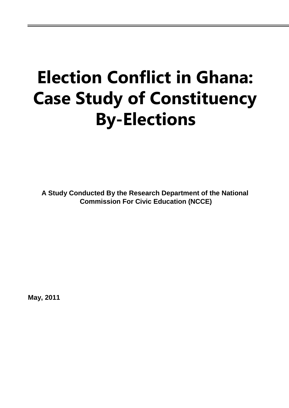# **Election Conflict in Ghana: Case Study of Constituency By-Elections**

**A Study Conducted By the Research Department of the National Commission For Civic Education (NCCE)**

**May, 2011**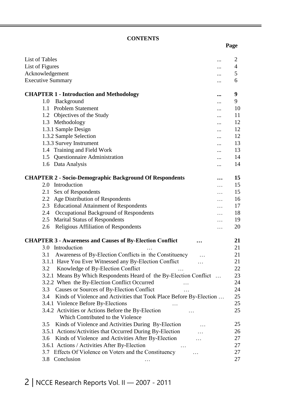#### **CONTENTS**

| List of Tables<br>                                                         | $\overline{2}$ |
|----------------------------------------------------------------------------|----------------|
| List of Figures                                                            | 4              |
| Acknowledgement<br>                                                        | 5              |
| <b>Executive Summary</b><br>                                               | 6              |
| <b>CHAPTER 1 - Introduction and Methodology</b><br>$\cdots$                | 9              |
| Background<br>1.0                                                          | 9              |
| <b>Problem Statement</b><br>1.1                                            | 10             |
| <br>Objectives of the Study<br>1.2                                         | 11             |
| <br>1.3 Methodology                                                        | 12             |
| <br>1.3.1 Sample Design                                                    | 12             |
| 1.3.2 Sample Selection                                                     | 12             |
| <br>1.3.3 Survey Instrument                                                | 13             |
| <br>1.4 Training and Field Work                                            | 13             |
| $\cdots$                                                                   |                |
| <b>Questionnaire Administration</b><br>1.5<br>$\cdots$                     | 14             |
| 1.6 Data Analysis<br>                                                      | 14             |
| <b>CHAPTER 2 - Socio-Demographic Background Of Respondents</b><br>$\cdots$ | 15             |
| Introduction<br>2.0<br>.                                                   | 15             |
| Sex of Respondents<br>2.1<br>$\cdots$                                      | 15             |
| Age Distribution of Respondents<br>2.2                                     | 16             |
| 2.3 Educational Attainment of Respondents<br>.                             | 17             |
| Occupational Background of Respondents<br>2.4<br>$\cdots$                  | 18             |
| <b>Marital Status of Respondents</b><br>2.5<br>$\cdots$                    | 19             |
| Religious Affiliation of Respondents<br>2.6<br>$\cdots$                    | 20             |
|                                                                            |                |
| <b>CHAPTER 3 - Awareness and Causes of By-Election Conflict</b>            | 21             |
| 3.0 Introduction                                                           | 21             |
| Awareness of By-Election Conflicts in the Constituency<br>3.1<br>.         | 21             |
| 3.1.1 Have You Ever Witnessed any By-Election Conflict<br>.                | 21             |
| 3.2<br>Knowledge of By-Election Conflict                                   | 22             |
| 3.2.1 Means By Which Respondents Heard of the By-Election Conflict         | 23             |
| 3.2.2 When the By-Election Conflict Occurred                               | 24             |
| Causes or Sources of By-Election Conflict<br>3.3                           | 24             |
| Kinds of Violence and Activities that Took Place Before By-Election<br>3.4 | 25             |
| 3.4.1 Violence Before By-Elections                                         | 25             |
| 3.4.2 Activities or Actions Before the By-Election                         | 25             |
| Which Contributed to the Violence                                          |                |
| Kinds of Violence and Activities During By-Election<br>3.5                 | 25             |
| 3.5.1 Actions/Activities that Occurred During By-Election                  | 26             |
| Kinds of Violence and Activities After By-Election<br>3.6                  | 27             |
| 3.6.1 Actions / Activities After By-Election                               | 27             |
| 3.7 Effects Of Violence on Voters and the Constituency<br>.                | 27             |
| 3.8 Conclusion                                                             | 27             |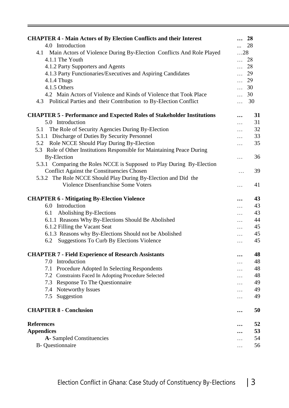| <b>CHAPTER 4 - Main Actors of By Election Conflicts and their Interest</b>                                                                |            | $\ldots$ 28       |
|-------------------------------------------------------------------------------------------------------------------------------------------|------------|-------------------|
| 4.0 Introduction                                                                                                                          | $\cdots$   | 28                |
| 4.1 Main Actors of Violence During By-Election Conflicts And Role Played                                                                  | $\dots 28$ |                   |
| 4.1.1 The Youth                                                                                                                           |            | $\ldots$ 28       |
| 4.1.2 Party Supporters and Agents                                                                                                         |            | $\ldots$ 28       |
| 4.1.3 Party Functionaries/Executives and Aspiring Candidates                                                                              |            | $\ldots$ 29       |
| 4.1.4 Thugs                                                                                                                               |            | $\ldots$ 29       |
| 4.1.5 Others                                                                                                                              |            | $\ldots$ 30       |
| 4.2 Main Actors of Violence and Kinds of Violence that Took Place<br>4.3 Political Parties and their Contribution to By-Election Conflict | $\cdots$   | $\ldots$ 30<br>30 |
|                                                                                                                                           |            |                   |
| <b>CHAPTER 5 - Performance and Expected Roles of Stakeholder Institutions</b>                                                             |            | 31                |
| 5.0 Introduction                                                                                                                          | $\ddotsc$  | 31                |
| 5.1 The Role of Security Agencies During By-Election                                                                                      | $\ddotsc$  | 32                |
| 5.1.1 Discharge of Duties By Security Personnel                                                                                           | $\ldots$   | 33                |
| 5.2 Role NCCE Should Play During By-Election                                                                                              | $\cdots$   | 35                |
| 5.3 Role of Other Institutions Responsible for Maintaining Peace During                                                                   |            |                   |
| <b>By-Election</b>                                                                                                                        | .          | 36                |
| 5.3.1 Comparing the Roles NCCE is Supposed to Play During By-Election                                                                     |            |                   |
| <b>Conflict Against the Constituencies Chosen</b>                                                                                         | $\cdots$   | 39                |
| 5.3.2 The Role NCCE Should Play During By-Election and Did the                                                                            |            |                   |
| Violence Disenfranchise Some Voters                                                                                                       | $\ddotsc$  | 41                |
| <b>CHAPTER 6 - Mitigating By-Election Violence</b>                                                                                        |            | 43                |
| 6.0 Introduction                                                                                                                          | $\dddotsc$ | 43                |
| Abolishing By-Elections<br>6.1                                                                                                            | $\ldots$   | 43                |
| 6.1.1 Reasons Why By-Elections Should Be Abolished                                                                                        |            | 44                |
| 6.1.2 Filling the Vacant Seat                                                                                                             |            | 45                |
| 6.1.3 Reasons why By-Elections Should not be Abolished                                                                                    |            | 45                |
| <b>Suggestions To Curb By Elections Violence</b><br>6.2                                                                                   | .          | 45                |
| <b>CHAPTER 7 - Field Experience of Research Assistants</b>                                                                                |            | 48                |
| Introduction<br>7.0                                                                                                                       |            | 48                |
| Procedure Adopted In Selecting Respondents<br>7.1                                                                                         |            | 48                |
| 7.2 Constraints Faced In Adopting Procedure Selected                                                                                      |            | 48                |
| Response To The Questionnaire<br>7.3                                                                                                      |            | 49                |
| Noteworthy Issues<br>7.4                                                                                                                  |            | 49                |
| Suggestion<br>7.5                                                                                                                         | .          | 49                |
| <b>CHAPTER 8 - Conclusion</b>                                                                                                             | $\ddotsc$  | 50                |
| <b>References</b>                                                                                                                         |            | 52                |
| <b>Appendices</b>                                                                                                                         |            | 53                |
| <b>A</b> -Sampled Constituencies                                                                                                          |            | 54                |
| <b>B</b> -Questionnaire                                                                                                                   |            | 56                |
|                                                                                                                                           |            |                   |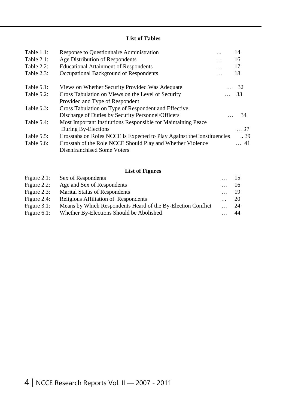#### **List of Tables**

| Table $1.1$ : | Response to Questionnaire Administration                               |           | 14          |
|---------------|------------------------------------------------------------------------|-----------|-------------|
| Table 2.1:    | Age Distribution of Respondents                                        | $\ddots$  | 16          |
| Table 2.2:    | <b>Educational Attainment of Respondents</b>                           | $\ddotsc$ | 17          |
| Table 2.3:    | Occupational Background of Respondents                                 |           | 18          |
| Table $5.1$ : | Views on Whether Security Provided Was Adequate                        |           | 32          |
| Table 5.2:    | Cross Tabulation on Views on the Level of Security                     |           | 33          |
|               | Provided and Type of Respondent                                        |           |             |
| Table 5.3:    | Cross Tabulation on Type of Respondent and Effective                   |           |             |
|               | Discharge of Duties by Security Personnel/Officers                     |           | 34          |
| Table 5.4:    | Most Important Institutions Responsible for Maintaining Peace          |           |             |
|               | During By-Elections                                                    |           | $\ldots$ 37 |
| Table 5.5:    | Crosstabs on Roles NCCE is Expected to Play Against the Constituencies |           | .39         |
| Table 5.6:    | Crosstab of the Role NCCE Should Play and Whether Violence             |           | $\ldots$ 41 |
|               | Disenfranchised Some Voters                                            |           |             |

#### **List of Figures**

| Figure $2.1$ : | Sex of Respondents                                           | 15 |
|----------------|--------------------------------------------------------------|----|
| Figure $2.2$ : | Age and Sex of Respondents                                   | 16 |
| Figure $2.3$ : | <b>Marital Status of Respondents</b>                         | 19 |
| Figure $2.4$ : | <b>Religious Affiliation of Respondents</b>                  | 20 |
| Figure $3.1$ : | Means by Which Respondents Heard of the By-Election Conflict | 24 |
| Figure $6.1$ : | Whether By-Elections Should be Abolished                     | 44 |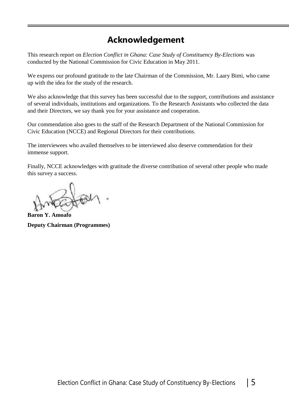### **Acknowledgement**

This research report on *Election Conflict in Ghana: Case Study of Constituency By-Elections* was conducted by the National Commission for Civic Education in May 2011.

We express our profound gratitude to the late Chairman of the Commission, Mr. Laary Bimi, who came up with the idea for the study of the research.

We also acknowledge that this survey has been successful due to the support, contributions and assistance of several individuals, institutions and organizations. To the Research Assistants who collected the data and their Directors, we say thank you for your assistance and cooperation.

Our commendation also goes to the staff of the Research Department of the National Commission for Civic Education (NCCE) and Regional Directors for their contributions.

The interviewees who availed themselves to be interviewed also deserve commendation for their immense support.

Finally, NCCE acknowledges with gratitude the diverse contribution of several other people who made this survey a success.

**Baron Y. Amoafo Deputy Chairman (Programmes)**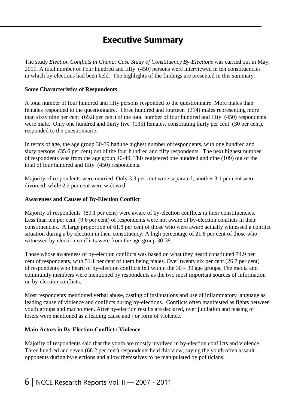### **Executive Summary**

The study *Election Conflicts in Ghana: Case Study of Constituency By-Elections* was carried out in May, 2011. A total number of Four hundred and fifty (450) persons were interviewed in ten constituencies in which by-elections had been held. The highlights of the findings are presented in this summary.

#### **Some Characteristics of Respondents**

A total number of four hundred and fifty persons responded to the questionnaire. More males than females responded to the questionnaire. Three hundred and fourteen (314) males representing more than sixty nine per cent (69.8 per cent) of the total number of four hundred and fifty (450) respondents were male. Only one hundred and thirty five (135) females, constituting thirty per cent (30 per cent), responded to the questionnaire.

In terms of age, the age group 30-39 had the highest number of respondents, with one hundred and sixty persons (35.6 per cent) out of the four hundred and fifty respondents. The next highest number of respondents was from the age group 40-49. This registered one hundred and nine (109) out of the total of four hundred and fifty (450) respondents.

Majority of respondents were married. Only 3.3 per cent were separated, another 3.1 per cent were divorced, while 2.2 per cent were widowed.

#### **Awareness and Causes of By-Election Conflict**

Majority of respondents (89.1 per cent) were aware of by-election conflicts in their constituencies. Less than ten per cent (9.6 per cent) of respondents were not aware of by-election conflicts in their constituencies. A large proportion of 61.8 per cent of those who were aware actually witnessed a conflict situation during a by-election in their constituency. A high percentage of 21.8 per cent of those who witnessed by-election conflicts were from the age group 30-39.

Those whose awareness of by-election conflicts was based on what they heard constituted 74.9 per cent of respondents, with 51.1 per cent of them being males. Over twenty six per cent (26.7 per cent) of respondents who heard of by-election conflicts fell within the  $30 - 39$  age groups. The media and community members were mentioned by respondents as the two most important sources of information on by-election conflicts.

Most respondents mentioned verbal abuse, casting of insinuations and use of inflammatory language as leading cause of violence and conflicts during by-elections. Conflicts often manifested as fights between youth groups and macho men. After by-election results are declared, over jubilation and teasing of losers were mentioned as a leading cause and / or form of violence.

#### **Main Actors in By-Election Conflict / Violence**

Majority of respondents said that the youth are mostly involved in by-election conflicts and violence. Three hundred and seven (68.2 per cent) respondents held this view, saying the youth often assault opponents during by-elections and allow themselves to be manipulated by politicians.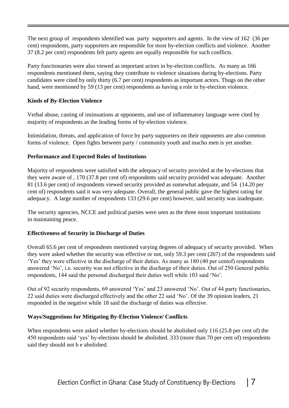The next group of respondents identified was party supporters and agents. In the view of 162 (36 per cent) respondents, party supporters are responsible for most by-election conflicts and violence. Another 37 (8.2 per cent) respondents felt party agents are equally responsible for such conflicts.

Party functionaries were also viewed as important actors in by-election conflicts. As many as 166 respondents mentioned them, saying they contribute to violence situations during by-elections. Party candidates were cited by only thirty (6.7 per cent) respondents as important actors. Thugs on the other hand, were mentioned by 59 (13 per cent) respondents as having a role in by-election violence.

#### **Kinds of By-Election Violence**

Verbal abuse, casting of insinuations at opponents, and use of inflammatory language were cited by majority of respondents as the leading forms of by-election violence.

Intimidation, threats, and application of force by party supporters on their opponents are also common forms of violence. Open fights between party / community youth and macho men is yet another.

#### **Performance and Expected Roles of Institutions**

Majority of respondents were satisfied with the adequacy of security provided at the by-elections that they were aware of , 170 (37.8 per cent of) respondents said security provided was adequate. Another 81 (13.6 per cent) of respondents viewed security provided as somewhat adequate, and 54 (14.20 per cent of) respondents said it was very adequate. Overall, the general public gave the highest rating for adequacy. A large number of respondents 133 (29.6 per cent) however, said security was inadequate.

The security agencies, NCCE and political parties were seen as the three most important institutions in maintaining peace.

#### **Effectiveness of Security in Discharge of Duties**

Overall 65.6 per cent of respondents mentioned varying degrees of adequacy of security provided. When they were asked whether the security was effective or not, only 59.3 per cent (267) of the respondents said 'Yes' they were effective in the discharge of their duties. As many as 180 (40 per centof) respondents answered 'No', i.e. security was not effective in the discharge of their duties. Out of 250 General public respondents, 144 said the personal discharged their duties well while 103 said 'No'.

Out of 92 security respondents, 69 answered 'Yes' and 23 answered 'No'. Out of 44 party functionaries, 22 said duties were discharged effectively and the other 22 said 'No'. Of the 39 opinion leaders, 21 responded in the negative while 18 said the discharge of duties was effective.

#### **Ways/Suggestions for Mitigating By-Election Violence/ Conflicts**

When respondents were asked whether by-elections should be abolished only 116 (25.8 per cent of) the 450 respondents said 'yes' by-elections should be abolished. 333 (more than 70 per cent of) respondents said they should not b e abolished.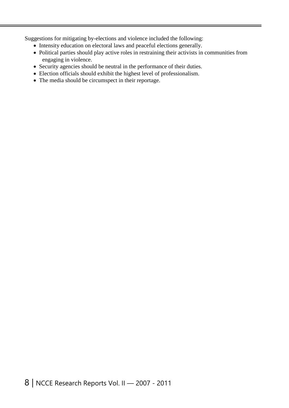Suggestions for mitigating by-elections and violence included the following:

- Intensity education on electoral laws and peaceful elections generally.
- Political parties should play active roles in restraining their activists in communities from engaging in violence.
- Security agencies should be neutral in the performance of their duties.
- Election officials should exhibit the highest level of professionalism.
- The media should be circumspect in their reportage.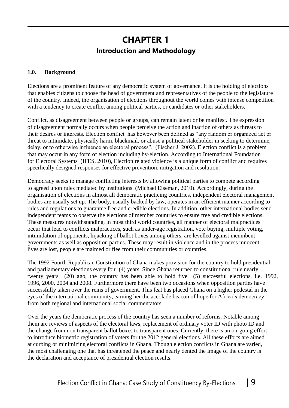### **CHAPTER 1 Introduction and Methodology**

#### **1.0. Background**

Elections are a prominent feature of any democratic system of governance. It is the holding of elections that enables citizens to choose the head of government and representatives of the people to the legislature of the country. Indeed, the organisation of elections throughout the world comes with intense competition with a tendency to create conflict among political parties, or candidates or other stakeholders.

Conflict, as disagreement between people or groups, can remain latent or be manifest. The expression of disagreement normally occurs when people perceive the action and inaction of others as threats to their desires or interests. Election conflict has however been defined as "any random or organized act or threat to intimidate, physically harm, blackmail, or abuse a political stakeholder in seeking to determine, delay, or to otherwise influence an electoral process". (Fischer J. 2002). Election conflict is a problem that may occur in any form of election including by-election. According to International Foundation for Electoral Systems (IFES, 2010), Election related violence is a unique form of conflict and requires specifically designed responses for effective prevention, mitigation and resolution.

Democracy seeks to manage conflicting interests by allowing political parties to compete according to agreed upon rules mediated by institutions. (Michael Eiseman, 2010). Accordingly, during the organisation of elections in almost all democratic practicing countries, independent electoral management bodies are usually set up. The body, usually backed by law, operates in an efficient manner according to rules and regulations to guarantee free and credible elections. In addition, other international bodies send independent teams to observe the elections of member countries to ensure free and credible elections. These measures notwithstanding, in most third world countries, all manner of electoral malpractices occur that lead to conflicts malpractices, such as under-age registration, vote buying, multiple voting, intimidation of opponents, hijacking of ballot boxes among others, are levelled against incumbent governments as well as opposition parties. These may result in violence and in the process innocent lives are lost, people are maimed or flee from their communities or countries.

The 1992 Fourth Republican Constitution of Ghana makes provision for the country to hold presidential and parliamentary elections every four (4) years. Since Ghana returned to constitutional rule nearly twenty years (20) ago, the country has been able to hold five (5) successful elections, i.e. 1992, 1996, 2000, 2004 and 2008. Furthermore there have been two occasions when opposition parties have successfully taken over the reins of government. This feat has placed Ghana on a higher pedestal in the eyes of the international community, earning her the accolade beacon of hope for Africa's democracy from both regional and international social commentators.

Over the years the democratic process of the country has seen a number of reforms. Notable among them are reviews of aspects of the electoral laws, replacement of ordinary voter ID with photo ID and the change from non transparent ballot boxes to transparent ones. Currently, there is an on-going effort to introduce biometric registration of voters for the 2012 general elections. All these efforts are aimed at curbing or minimizing electoral conflicts in Ghana. Though election conflicts in Ghana are varied, the most challenging one that has threatened the peace and nearly dented the Image of the country is the declaration and acceptance of presidential election results.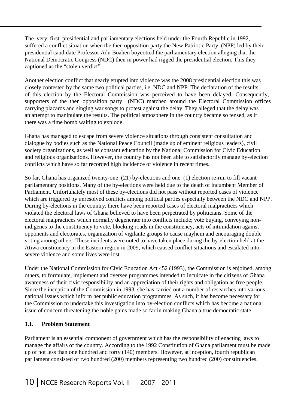The very first presidential and parliamentary elections held under the Fourth Republic in 1992, suffered a conflict situation when the then opposition party the New Patriotic Party (NPP) led by their presidential candidate Professor Adu Boahen boycotted the parliamentary election alleging that the National Democratic Congress (NDC) then in power had rigged the presidential election. This they captioned as the "stolen verdict".

Another election conflict that nearly erupted into violence was the 2008 presidential election this was closely contested by the same two political parties, i.e. NDC and NPP. The declaration of the results of this election by the Electoral Commission was perceived to have been delayed. Consequently, supporters of the then opposition party (NDC) matched around the Electoral Commission offices carrying placards and singing war songs to protest against the delay. They alleged that the delay was an attempt to manipulate the results. The political atmosphere in the country became so tensed, as if there was a time bomb waiting to explode.

Ghana has managed to escape from severe violence situations through consistent consultation and dialogue by bodies such as the National Peace Council (made up of eminent religious leaders), civil society organizations, as well as constant education by the National Commission for Civic Education and religious organizations. However, the country has not been able to satisfactorily manage by-election conflicts which have so far recorded high incidence of violence in recent times.

So far, Ghana has organized twenty-one (21) by-elections and one (1) election re-run to fill vacant parliamentary positions. Many of the by-elections were held due to the death of incumbent Member of Parliament. Unfortunately most of these by-elections did not pass without reported cases of violence which are triggered by unresolved conflicts among political parties especially between the NDC and NPP. During by-elections in the country, there have been reported cases of electoral malpractices which violated the electoral laws of Ghana believed to have been perpetrated by politicians. Some of the electoral malpractices which normally degenerate into conflicts include; vote buying, conveying nonindigenes to the constituency to vote, blocking roads in the constituency, acts of intimidation against opponents and electorates, organization of vigilante groups to cause mayhem and encouraging double voting among others. These incidents were noted to have taken place during the by-election held at the Atiwa constituency in the Eastern region in 2009, which caused conflict situations and escalated into severe violence and some lives were lost.

Under the National Commission for Civic Education Act 452 (1993), the Commission is enjoined, among others, to formulate, implement and oversee programmes intended to inculcate in the citizens of Ghana awareness of their civic responsibility and an appreciation of their rights and obligation as free people. Since the inception of the Commission in 1993, she has carried out a number of researches into various national issues which inform her public education programmes. As such, it has become necessary for the Commission to undertake this investigation into by-election conflicts which has become a national issue of concern threatening the noble gains made so far in making Ghana a true democratic state.

#### **1.1. Problem Statement**

Parliament is an essential component of government which has the responsibility of enacting laws to manage the affairs of the country. According to the 1992 Constitution of Ghana parliament must be made up of not less than one hundred and forty (140) members. However, at inception, fourth republican parliament consisted of two hundred (200) members representing two hundred (200) constituencies.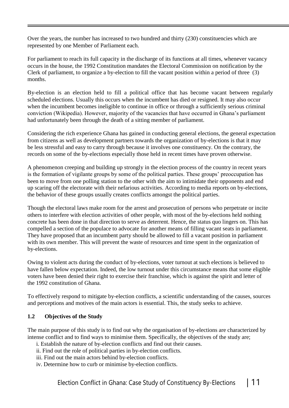Over the years, the number has increased to two hundred and thirty (230) constituencies which are represented by one Member of Parliament each.

For parliament to reach its full capacity in the discharge of its functions at all times, whenever vacancy occurs in the house, the 1992 Constitution mandates the Electoral Commission on notification by the Clerk of parliament, to organize a by-election to fill the vacant position within a period of three (3) months.

By-election is an election held to fill a political office that has become vacant between regularly scheduled elections. Usually this occurs when the incumbent has died or resigned. It may also occur when the incumbent becomes ineligible to continue in office or through a sufficiently serious criminal conviction (Wikipedia). However, majority of the vacancies that have occurred in Ghana's parliament had unfortunately been through the death of a sitting member of parliament.

Considering the rich experience Ghana has gained in conducting general elections, the general expectation from citizens as well as development partners towards the organization of by-elections is that it may be less stressful and easy to carry through because it involves one constituency. On the contrary, the records on some of the by-elections especially those held in recent times have proven otherwise.

A phenomenon creeping and building up strongly in the election process of the country in recent years is the formation of vigilante groups by some of the political parties. These groups' preoccupation has been to move from one polling station to the other with the aim to intimidate their opponents and end up scaring off the electorate with their nefarious activities. According to media reports on by-elections, the behavior of these groups usually creates conflicts amongst the political parties.

Though the electoral laws make room for the arrest and prosecution of persons who perpetrate or incite others to interfere with election activities of other people, with most of the by-elections held nothing concrete has been done in that direction to serve as deterrent. Hence, the status quo lingers on. This has compelled a section of the populace to advocate for another means of filling vacant seats in parliament. They have proposed that an incumbent party should be allowed to fill a vacant position in parliament with its own member. This will prevent the waste of resources and time spent in the organization of by-elections.

Owing to violent acts during the conduct of by-elections, voter turnout at such elections is believed to have fallen below expectation. Indeed, the low turnout under this circumstance means that some eligible voters have been denied their right to exercise their franchise, which is against the spirit and letter of the 1992 constitution of Ghana.

To effectively respond to mitigate by-election conflicts, a scientific understanding of the causes, sources and perceptions and motives of the main actors is essential. This, the study seeks to achieve.

#### **1.2 Objectives of the Study**

The main purpose of this study is to find out why the organisation of by-elections are characterized by intense conflict and to find ways to minimise them. Specifically, the objectives of the study are;

- i. Establish the nature of by-election conflicts and find out their causes.
- ii. Find out the role of political parties in by-election conflicts.
- iii. Find out the main actors behind by-election conflicts.
- iv. Determine how to curb or minimise by-election conflicts.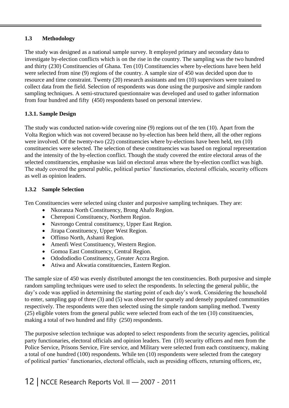#### **1.3 Methodology**

The study was designed as a national sample survey. It employed primary and secondary data to investigate by-election conflicts which is on the rise in the country. The sampling was the two hundred and thirty (230) Constituencies of Ghana. Ten (10) Constituencies where by-elections have been held were selected from nine (9) regions of the country. A sample size of 450 was decided upon due to resource and time constraint. Twenty (20) research assistants and ten (10) supervisors were trained to collect data from the field. Selection of respondents was done using the purposive and simple random sampling techniques. A semi-structured questionnaire was developed and used to gather information from four hundred and fifty (450) respondents based on personal interview.

#### **1.3.1. Sample Design**

The study was conducted nation-wide covering nine (9) regions out of the ten (10). Apart from the Volta Region which was not covered because no by-election has been held there, all the other regions were involved. Of the twenty-two (22) constituencies where by-elections have been held, ten (10) constituencies were selected. The selection of these constituencies was based on regional representation and the intensity of the by-election conflict. Though the study covered the entire electoral areas of the selected constituencies, emphasise was laid on electoral areas where the by-election conflict was high. The study covered the general public, political parties' functionaries, electoral officials, security officers as well as opinion leaders.

#### **1.3.2 Sample Selection**

Ten Constituencies were selected using cluster and purposive sampling techniques. They are:

- Nkoranza North Constituency, Brong Ahafo Region.
- Chereponi Constituency, Northern Region.
- Navrongo Central constituency, Upper East Region.
- Jirapa Constituency, Upper West Region.
- Offinso North, Ashanti Region.
- Amenfi West Constituency, Western Region.
- Gomoa East Constituency, Central Region.
- Odododiodio Constituency, Greater Accra Region.
- Atiwa and Akwatia constituencies, Eastern Region.

The sample size of 450 was evenly distributed amongst the ten constituencies. Both purposive and simple random sampling techniques were used to select the respondents. In selecting the general public, the day's code was applied in determining the starting point of each day's work. Considering the household to enter, sampling gap of three (3) and (5) was observed for sparsely and densely populated communities respectively. The respondents were then selected using the simple random sampling method. Twenty (25) eligible voters from the general public were selected from each of the ten (10) constituencies, making a total of two hundred and fifty (250) respondents.

The purposive selection technique was adopted to select respondents from the security agencies, political party functionaries, electoral officials and opinion leaders. Ten (10) security officers and men from the Police Service, Prisons Service, Fire service, and Military were selected from each constituency, making a total of one hundred (100) respondents. While ten (10) respondents were selected from the category of political parties' functionaries, electoral officials, such as presiding officers, returning officers, etc,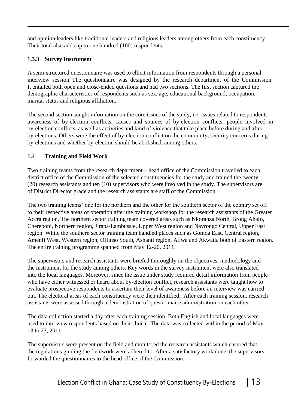and opinion leaders like traditional leaders and religious leaders among others from each constituency. Their total also adds up to one hundred (100) respondents.

#### **1.3.3 Survey Instrument**

A semi-structured questionnaire was used to ellicit information from respondents through a personal interview session. The questionnaire was designed by the research department of the Commission. It entailed both open and close-ended questions and had two sections. The first section captured the demographic characteristics of respondents such as sex, age, educational background, occupation, marital status and religious affiliation.

The second section sought information on the core issues of the study, i.e. issues related to respondents awareness of by-election conflicts, causes and sources of by-election conflicts, people involved in by-election conflicts, as well as activities and kind of violence that take place before during and after by-elections. Others were the effect of by-election conflict on the community, security concerns during by-elections and whether by-election should be abolished, among others.

#### **1.4 Training and Field Work**

Two training teams from the research department – head office of the Commission travelled to each district office of the Commission of the selected constituencies for the study and trained the twenty (20) research assistants and ten (10) supervisors who were involved in the study. The supervisors are of District Director grade and the research assistants are staff of the Commission.

The two training teams' one for the northern and the other for the southern sector of the country set off to their respective areas of operation after the training workshop for the research assistants of the Greater Accra region. The northern sector training team covered areas such as Nkoranza North, Brong Ahafo, Chereponi, Northern region, Jirapa/Lambussie, Upper West region and Navrongo Central, Upper East region. While the southern sector training team handled places such as Gomoa East, Central region, Amenfi West, Western region, Offinso South, Ashanti region, Atiwa and Akwatia both of Eastern region. The entire training programme spanned from May 12-20, 2011.

The supervisors and research assistants were briefed thoroughly on the objectives, methodology and the instrument for the study among others. Key words in the survey instrument were also translated into the local languages. Moreover, since the issue under study required detail information from people who have either witnessed or heard about by-election conflict, research assistants were taught how to evaluate prospective respondents to ascertain their level of awareness before an interview was carried out. The electoral areas of each constituency were then identified. After each training session, research assistants were assessed through a demonstration of questionnaire administration on each other.

The data collection started a day after each training session. Both English and local languages were used to interview respondents based on their choice. The data was collected within the period of May 13 to 23, 2011.

The supervisors were present on the field and monitored the research assistants which ensured that the regulations guiding the fieldwork were adhered to. After a satisfactory work done, the supervisors forwarded the questionnaires to the head office of the Commission.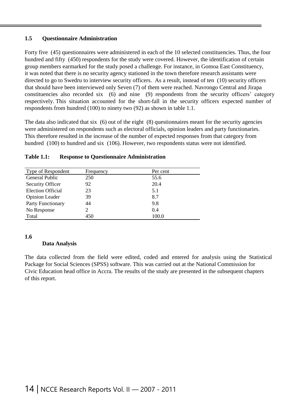#### **1.5 Questionnaire Administration**

Forty five (45) questionnaires were administered in each of the 10 selected constituencies. Thus, the four hundred and fifty (450) respondents for the study were covered. However, the identification of certain group members earmarked for the study posed a challenge. For instance, in Gomoa East Constituency, it was noted that there is no security agency stationed in the town therefore research assistants were directed to go to Swedru to interview security officers. As a result, instead of ten (10) security officers that should have been interviewed only Seven (7) of them were reached. Navrongo Central and Jirapa constituencies also recorded six (6) and nine (9) respondents from the security officers' category respectively. This situation accounted for the short-fall in the security officers expected number of respondents from hundred (100) to ninety two (92) as shown in table 1.1.

The data also indicated that six (6) out of the eight (8) questionnaires meant for the security agencies were administered on respondents such as electoral officials, opinion leaders and party functionaries. This therefore resulted in the increase of the number of expected responses from that category from hundred (100) to hundred and six (106). However, two respondents status were not identified.

| Type of Respondent       | Frequency | Per cent |  |
|--------------------------|-----------|----------|--|
| <b>General Public</b>    | 250       | 55.6     |  |
| Security Officer         | 92        | 20.4     |  |
| <b>Election Official</b> | 23        | 5.1      |  |
| <b>Opinion Leader</b>    | 39        | 8.7      |  |
| Party Functionary        | 44        | 9.8      |  |
| No Response              |           | 0.4      |  |
| Total                    | 450       | 100.0    |  |

#### **Table 1.1: Response to Questionnaire Administration**

#### **1.6**

#### **Data Analysis**

The data collected from the field were edited, coded and entered for analysis using the Statistical Package for Social Sciences (SPSS) software. This was carried out at the National Commission for Civic Education head office in Accra. The results of the study are presented in the subsequent chapters of this report.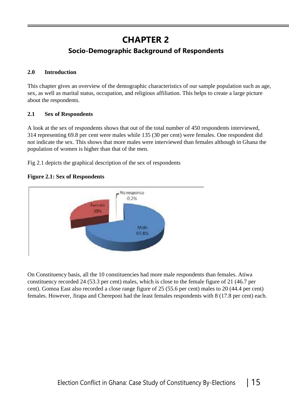# **CHAPTER 2**

### **Socio-Demographic Background of Respondents**

#### **2.0 Introduction**

This chapter gives an overview of the demographic characteristics of our sample population such as age, sex, as well as marital status, occupation, and religious affiliation. This helps to create a large picture about the respondents.

#### **2.1 Sex of Respondents**

A look at the sex of respondents shows that out of the total number of 450 respondents interviewed, 314 representing 69.8 per cent were males while 135 (30 per cent) were females. One respondent did not indicate the sex. This shows that more males were interviewed than females although in Ghana the population of women is higher than that of the men.

Fig 2.1 depicts the graphical description of the sex of respondents

**Figure 2.1: Sex of Respondents**



On Constituency basis, all the 10 constituencies had more male respondents than females. Atiwa constituency recorded 24 (53.3 per cent) males, which is close to the female figure of 21 (46.7 per cent). Gomoa East also recorded a close range figure of 25 (55.6 per cent) males to 20 (44.4 per cent) females. However, Jirapa and Chereponi had the least females respondents with 8 (17.8 per cent) each.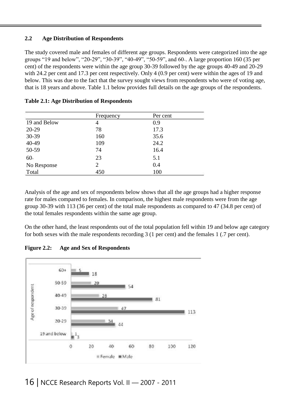#### **2.2 Age Distribution of Respondents**

The study covered male and females of different age groups. Respondents were categorized into the age groups "19 and below", "20-29", "30-39", "40-49", "50-59", and 60+. A large proportion 160 (35 per cent) of the respondents were within the age group 30-39 followed by the age groups 40-49 and 20-29 with 24.2 per cent and 17.3 per cent respectively. Only 4 (0.9 per cent) were within the ages of 19 and below. This was due to the fact that the survey sought views from respondents who were of voting age, that is 18 years and above. Table 1.1 below provides full details on the age groups of the respondents.

|              | Frequency | Per cent |  |
|--------------|-----------|----------|--|
| 19 and Below | 4         | 0.9      |  |
| 20-29        | 78        | 17.3     |  |
| 30-39        | 160       | 35.6     |  |
| 40-49        | 109       | 24.2     |  |
| 50-59        | 74        | 16.4     |  |
| $60+$        | 23        | 5.1      |  |
| No Response  | 2         | 0.4      |  |
| Total        | 450       | 100      |  |

**Table 2.1: Age Distribution of Respondents**

Analysis of the age and sex of respondents below shows that all the age groups had a higher response rate for males compared to females. In comparison, the highest male respondents were from the age group 30-39 with 113 (36 per cent) of the total male respondents as compared to 47 (34.8 per cent) of the total females respondents within the same age group.

On the other hand, the least respondents out of the total population fell within 19 and below age category for both sexes with the male respondents recording 3 (1 per cent) and the females 1 (.7 per cent).

**Figure 2.2: Age and Sex of Respondents**

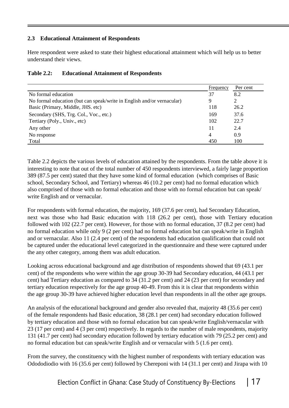#### **2.3 Educational Attainment of Respondents**

Here respondent were asked to state their highest educational attainment which will help us to better understand their views.

|                                                                        | Frequency      | Per cent |
|------------------------------------------------------------------------|----------------|----------|
| No formal education                                                    | 37             | 8.2      |
| No formal education (but can speak/write in English and/or vernacular) | 9              | 2        |
| Basic (Primary, Middle, JHS. etc)                                      | 118            | 26.2     |
| Secondary (SHS, Trg. Col., Voc., etc.)                                 | 169            | 37.6     |
| Tertiary (Poly., Univ., etc)                                           | 102            | 22.7     |
| Any other                                                              | 11             | 2.4      |
| No response                                                            | $\overline{4}$ | 0.9      |
| Total                                                                  | 450            | 100      |

#### **Table 2.2: Educational Attainment of Respondents**

Table 2.2 depicts the various levels of education attained by the respondents. From the table above it is interesting to note that out of the total number of 450 respondents interviewed, a fairly large proportion 389 (87.5 per cent) stated that they have some kind of formal education (which comprises of Basic school, Secondary School, and Tertiary) whereas 46 (10.2 per cent) had no formal education which also comprised of those with no formal education and those with no formal education but can speak/ write English and or vernacular.

For respondents with formal education, the majority, 169 (37.6 per cent), had Secondary Education, next was those who had Basic education with 118 (26.2 per cent), those with Tertiary education followed with 102 (22.7 per cent). However, for those with no formal education, 37 (8.2 per cent) had no formal education while only 9 (2 per cent) had no formal education but can speak/write in English and or vernacular. Also 11 (2.4 per cent) of the respondents had education qualification that could not be captured under the educational level categorized in the questionnaire and these were captured under the any other category, among them was adult education.

Looking across educational background and age distribution of respondents showed that 69 (43.1 per cent) of the respondents who were within the age group 30-39 had Secondary education, 44 (43.1 per cent) had Tertiary education as compared to 34 (31.2 per cent) and 24 (23 per cent) for secondary and tertiary education respectively for the age group 40-49. From this it is clear that respondents within the age group 30-39 have achieved higher education level than respondents in all the other age groups.

An analysis of the educational background and gender also revealed that, majority 48 (35.6 per cent) of the female respondents had Basic education, 38 (28.1 per cent) had secondary education followed by tertiary education and those with no formal education but can speak/write English/vernacular with 23 (17 per cent) and 4 (3 per cent) respectively. In regards to the number of male respondents, majority 131 (41.7 per cent) had secondary education followed by tertiary education with 79 (25.2 per cent) and no formal education but can speak/write English and or vernacular with 5 (1.6 per cent).

From the survey, the constituency with the highest number of respondents with tertiary education was Odododiodio with 16 (35.6 per cent) followed by Chereponi with 14 (31.1 per cent) and Jirapa with 10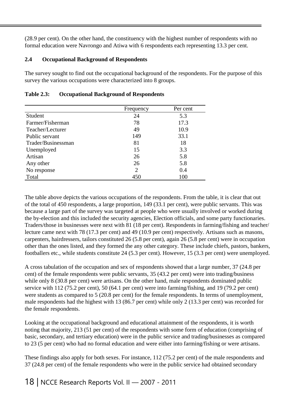(28.9 per cent). On the other hand, the constituency with the highest number of respondents with no formal education were Navrongo and Atiwa with 6 respondents each representing 13.3 per cent.

#### **2.4 Occupational Background of Respondents**

The survey sought to find out the occupational background of the respondents. For the purpose of this survey the various occupations were characterized into 8 groups.

|                    | Frequency      | Per cent |
|--------------------|----------------|----------|
| Student            | 24             | 5.3      |
| Farmer/Fisherman   | 78             | 17.3     |
| Teacher/Lecturer   | 49             | 10.9     |
| Public servant     | 149            | 33.1     |
| Trader/Businessman | 81             | 18       |
| Unemployed         | 15             | 3.3      |
| Artisan            | 26             | 5.8      |
| Any other          | 26             | 5.8      |
| No response        | $\overline{2}$ | 0.4      |
| Total              | 450            | 100      |

#### **Table 2.3: Occupational Background of Respondents**

The table above depicts the various occupations of the respondents. From the table, it is clear that out of the total of 450 respondents, a large proportion, 149 (33.1 per cent), were public servants. This was because a large part of the survey was targeted at people who were usually involved or worked during the by-election and this included the security agencies, Election officials, and some party functionaries. Traders/those in businesses were next with 81 (18 per cent). Respondents in farming/fishing and teacher/ lecture came next with 78 (17.3 per cent) and 49 (10.9 per cent) respectively. Artisans such as masons, carpenters, hairdressers, tailors constituted 26 (5.8 per cent), again 26 (5.8 per cent) were in occupation other than the ones listed, and they formed the any other category. These include chiefs, pastors, bankers, footballers etc., while students constitute 24 (5.3 per cent). However, 15 (3.3 per cent) were unemployed.

A cross tabulation of the occupation and sex of respondents showed that a large number, 37 (24.8 per cent) of the female respondents were public servants, 35 (43.2 per cent) were into trading/business while only 8 (30.8 per cent) were artisans. On the other hand, male respondents dominated public service with 112 (75.2 per cent), 50 (64.1 per cent) were into farming/fishing, and 19 (79.2 per cent) were students as compared to 5 (20.8 per cent) for the female respondents. In terms of unemployment, male respondents had the highest with 13 (86.7 per cent) while only 2 (13.3 per cent) was recorded for the female respondents.

Looking at the occupational background and educational attainment of the respondents, it is worth noting that majority, 213 (51 per cent) of the respondents with some form of education (comprising of basic, secondary, and tertiary education) were in the public service and trading/businesses as compared to 23 (5 per cent) who had no formal education and were either into farming/fishing or were artisans.

These findings also apply for both sexes. For instance, 112 (75.2 per cent) of the male respondents and 37 (24.8 per cent) of the female respondents who were in the public service had obtained secondary

18 | NCCE Research Reports Vol. II — 2007 - 2011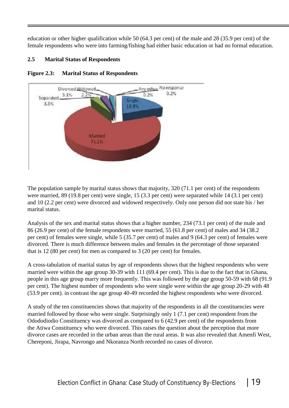education or other higher qualification while 50 (64.3 per cent) of the male and 28 (35.9 per cent) of the female respondents who were into farming/fishing had either basic education or had no formal education.

#### **2.5 Marital Status of Respondents**



#### **Figure 2.3: Marital Status of Respondents**

The population sample by marital status shows that majority, 320 (71.1 per cent) of the respondents were married, 89 (19.8 per cent) were single, 15 (3.3 per cent) were separated while 14 (3.1 per cent) and 10 (2.2 per cent) were divorced and widowed respectively. Only one person did not state his / her marital status.

Analysis of the sex and marital status shows that a higher number, 234 (73.1 per cent) of the male and 86 (26.9 per cent) of the female respondents were married, 55 (61.8 per cent) of males and 34 (38.2 per cent) of females were single, while 5 (35.7 per cent) of males and 9 (64.3 per cent) of females were divorced. There is much difference between males and females in the percentage of those separated that is 12 (80 per cent) for men as compared to 3 (20 per cent) for females.

A cross-tabulation of marital status by age of respondents shows that the highest respondents who were married were within the age group 30-39 with 111 (69.4 per cent). This is due to the fact that in Ghana, people in this age group marry more frequently. This was followed by the age group 50-59 with 68 (91.9 per cent). The highest number of respondents who were single were within the age group 20-29 with 48 (53.9 per cent). in contrast the age group 40-49 recorded the highest respondents who were divorced.

A study of the ten constituencies shows that majority of the respondents in all the constituencies were married followed by those who were single. Surprisingly only 1 (7.1 per cent) respondent from the Odododiodio Constituency was divorced as compared to 6 (42.9 per cent) of the respondents from the Atiwa Constituency who were divorced. This raises the question about the perception that more divorce cases are recorded in the urban areas than the rural areas. It was also revealed that Amenfi West, Chereponi, Jirapa, Navrongo and Nkoranza North recorded no cases of divorce.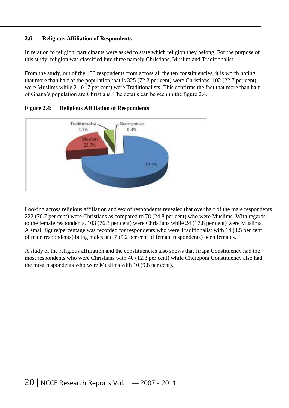#### **2.6 Religious Affiliation of Respondents**

In relation to religion, participants were asked to state which religion they belong. For the purpose of this study, religion was classified into three namely Christians, Muslim and Traditionalist.

From the study, out of the 450 respondents from across all the ten constituencies, it is worth noting that more than half of the population that is 325 (72.2 per cent) were Christians, 102 (22.7 per cent) were Muslims while 21 (4.7 per cent) were Traditionalists. This confirms the fact that more than half of Ghana's population are Christians. The details can be seen in the figure 2.4.





Looking across religious affiliation and sex of respondents revealed that over half of the male respondents 222 (70.7 per cent) were Christians as compared to 78 (24.8 per cent) who were Muslims. With regards to the female respondents, 103 (76.3 per cent) were Christians while 24 (17.8 per cent) were Muslims. A small figure/percentage was recorded for respondents who were Traditionalist with 14 (4.5 per cent of male respondents) being males and 7 (5.2 per cent of female respondents) been females.

A study of the religious affiliation and the constituencies also shows that Jirapa Constituency had the most respondents who were Christians with 40 (12.3 per cent) while Chereponi Constituency also had the most respondents who were Muslims with 10 (9.8 per cent).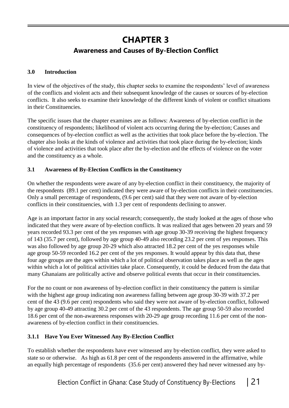## **CHAPTER 3 Awareness and Causes of By-Election Conflict**

#### **3.0 Introduction**

In view of the objectives of the study, this chapter seeks to examine the respondents' level of awareness of the conflicts and violent acts and their subsequent knowledge of the causes or sources of by-election conflicts. It also seeks to examine their knowledge of the different kinds of violent or conflict situations in their Constituencies.

The specific issues that the chapter examines are as follows: Awareness of by-election conflict in the constituency of respondents; likelihood of violent acts occurring during the by-election; Causes and consequences of by-election conflict as well as the activities that took place before the by-election. The chapter also looks at the kinds of violence and activities that took place during the by-election; kinds of violence and activities that took place after the by-election and the effects of violence on the voter and the constituency as a whole.

#### **3.1 Awareness of By-Election Conflicts in the Constituency**

On whether the respondents were aware of any by-election conflict in their constituency, the majority of the respondents (89.1 per cent) indicated they were aware of by-election conflicts in their constituencies. Only a small percentage of respondents, (9.6 per cent) said that they were not aware of by-election conflicts in their constituencies, with 1.3 per cent of respondents declining to answer.

Age is an important factor in any social research; consequently, the study looked at the ages of those who indicated that they were aware of by-election conflicts. It was realized that ages between 20 years and 59 years recorded 93.3 per cent of the yes responses with age group 30-39 receiving the highest frequency of 143 (35.7 per cent), followed by age group 40-49 also recording 23.2 per cent of yes responses. This was also followed by age group 20-29 which also attracted 18.2 per cent of the yes responses while age group 50-59 recorded 16.2 per cent of the yes responses. It would appear by this data that, these four age groups are the ages within which a lot of political observation takes place as well as the ages within which a lot of political activities take place. Consequently, it could be deduced from the data that many Ghanaians are politically active and observe political events that occur in their constituencies.

For the no count or non awareness of by-election conflict in their constituency the pattern is similar with the highest age group indicating non awareness falling between age group 30-39 with 37.2 per cent of the 43 (9.6 per cent) respondents who said they were not aware of by-election conflict, followed by age group 40-49 attracting 30.2 per cent of the 43 respondents. The age group 50-59 also recorded 18.6 per cent of the non-awareness responses with 20-29 age group recording 11.6 per cent of the nonawareness of by-election conflict in their constituencies.

#### **3.1.1 Have You Ever Witnessed Any By-Election Conflict**

To establish whether the respondents have ever witnessed any by-election conflict, they were asked to state so or otherwise. As high as 61.8 per cent of the respondents answered in the affirmative, while an equally high percentage of respondents (35.6 per cent) answered they had never witnessed any by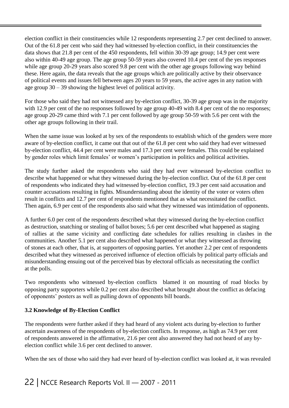election conflict in their constituencies while 12 respondents representing 2.7 per cent declined to answer. Out of the 61.8 per cent who said they had witnessed by-election conflict, in their constituencies the data shows that 21.8 per cent of the 450 respondents, fell within 30-39 age group; 14.9 per cent were also within 40-49 age group. The age group 50-59 years also covered 10.4 per cent of the yes responses while age group 20-29 years also scored 9.8 per cent with the other age groups following way behind these. Here again, the data reveals that the age groups which are politically active by their observance of political events and issues fell between ages 20 years to 59 years, the active ages in any nation with age group 30 – 39 showing the highest level of political activity.

For those who said they had not witnessed any by-election conflict, 30-39 age group was in the majority with 12.9 per cent of the no responses followed by age group 40-49 with 8.4 per cent of the no responses; age group 20-29 came third with 7.1 per cent followed by age group 50-59 with 5.6 per cent with the other age groups following in their trail.

When the same issue was looked at by sex of the respondents to establish which of the genders were more aware of by-election conflict, it came out that out of the 61.8 per cent who said they had ever witnessed by-election conflict, 44.4 per cent were males and 17.3 per cent were females. This could be explained by gender roles which limit females' or women's participation in politics and political activities.

The study further asked the respondents who said they had ever witnessed by-election conflict to describe what happened or what they witnessed during the by-election conflict. Out of the 61.8 per cent of respondents who indicated they had witnessed by-election conflict, 19.3 per cent said accusation and counter accusations resulting in fights. Misunderstanding about the identity of the voter or voters often result in conflicts and 12.7 per cent of respondents mentioned that as what necessitated the conflict. Then again, 6.9 per cent of the respondents also said what they witnessed was intimidation of opponents.

A further 6.0 per cent of the respondents described what they witnessed during the by-election conflict as destruction, snatching or stealing of ballot boxes; 5.6 per cent described what happened as staging of rallies at the same vicinity and conflicting date schedules for rallies resulting in clashes in the communities. Another 5.1 per cent also described what happened or what they witnessed as throwing of stones at each other, that is, at supporters of opposing parties. Yet another 2.2 per cent of respondents described what they witnessed as perceived influence of election officials by political party officials and misunderstanding ensuing out of the perceived bias by electoral officials as necessitating the conflict at the polls.

Two respondents who witnessed by-election conflicts blamed it on mounting of road blocks by opposing party supporters while 0.2 per cent also described what brought about the conflict as defacing of opponents' posters as well as pulling down of opponents bill boards.

#### **3.2 Knowledge of By-Election Conflict**

The respondents were further asked if they had heard of any violent acts during by-election to further ascertain awareness of the respondents of by-election conflicts. In response, as high as 74.9 per cent of respondents answered in the affirmative, 21.6 per cent also answered they had not heard of any byelection conflict while 3.6 per cent declined to answer.

When the sex of those who said they had ever heard of by-election conflict was looked at, it was revealed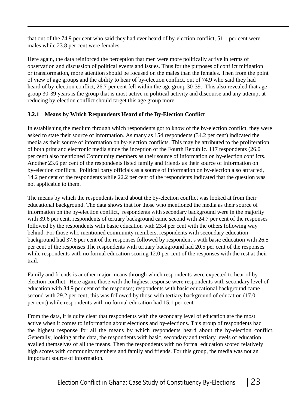that out of the 74.9 per cent who said they had ever heard of by-election conflict, 51.1 per cent were males while 23.8 per cent were females.

Here again, the data reinforced the perception that men were more politically active in terms of observation and discussion of political events and issues. Thus for the purposes of conflict mitigation or transformation, more attention should be focused on the males than the females. Then from the point of view of age groups and the ability to hear of by-election conflict, out of 74.9 who said they had heard of by-election conflict, 26.7 per cent fell within the age group 30-39. This also revealed that age group 30-39 years is the group that is most active in political activity and discourse and any attempt at reducing by-election conflict should target this age group more.

#### **3.2.1 Means by Which Respondents Heard of the By-Election Conflict**

In establishing the medium through which respondents got to know of the by-election conflict, they were asked to state their source of information. As many as 154 respondents (34.2 per cent) indicated the media as their source of information on by-election conflicts. This may be attributed to the proliferation of both print and electronic media since the inception of the Fourth Republic. 117 respondents (26.0 per cent) also mentioned Community members as their source of information on by-election conflicts. Another 23.6 per cent of the respondents listed family and friends as their source of information on by-election conflicts. Political party officials as a source of information on by-election also attracted, 14.2 per cent of the respondents while 22.2 per cent of the respondents indicated that the question was not applicable to them.

The means by which the respondents heard about the by-election conflict was looked at from their educational background. The data shows that for those who mentioned the media as their source of information on the by-election conflict, respondents with secondary background were in the majority with 39.6 per cent, respondents of tertiary background came second with 24.7 per cent of the responses followed by the respondents with basic education with 23.4 per cent with the others following way behind. For those who mentioned community members, respondents with secondary education background had 37.6 per cent of the responses followed by respondent s with basic education with 26.5 per cent of the responses The respondents with tertiary background had 20.5 per cent of the responses while respondents with no formal education scoring 12.0 per cent of the responses with the rest at their trail.

Family and friends is another major means through which respondents were expected to hear of byelection conflict. Here again, those with the highest response were respondents with secondary level of education with 34.9 per cent of the responses; respondents with basic educational background came second with 29.2 per cent; this was followed by those with tertiary background of education (17.0 per cent) while respondents with no formal education had 15.1 per cent.

From the data, it is quite clear that respondents with the secondary level of education are the most active when it comes to information about elections and by-elections. This group of respondents had the highest response for all the means by which respondents heard about the by-election conflict. Generally, looking at the data, the respondents with basic, secondary and tertiary levels of education availed themselves of all the means. Then the respondents with no formal education scored relatively high scores with community members and family and friends. For this group, the media was not an important source of information.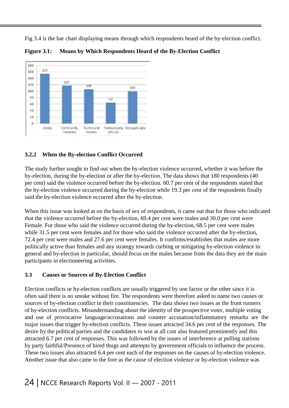Fig 3.4 is the bar chart displaying means through which respondents heard of the by-election conflict.



**Figure 3.1: Means by Which Respondents Heard of the By-Election Conflict**

#### **3.2.2 When the By-election Conflict Occurred**

The study further sought to find out when the by-election violence occurred, whether it was before the by-election, during the by-election or after the by-election. The data shows that 180 respondents (40 per cent) said the violence occurred before the by-election. 60.7 per cent of the respondents stated that the by-election violence occurred during the by-election while 19.3 per cent of the respondents finally said the by-election violence occurred after the by-election.

When this issue was looked at on the basis of sex of respondents, it came out that for those who indicated that the violence occurred before the by-election, 69.4 per cent were males and 30.0 per cent were Female. For those who said the violence occurred during the by-election, 68.5 per cent were males while 31.5 per cent were females and for those who said the violence occurred after the by-election, 72.4 per cent were males and 27.6 per cent were females. It confirms/establishes that males are more politically active than females and any strategy towards curbing or mitigating by-election violence in general and by-election in particular, should focus on the males because from the data they are the main participants in electioneering activities.

#### **3.3 Causes or Sources of By-Election Conflict**

Election conflicts or by-election conflicts are usually triggered by one factor or the other since it is often said there is no smoke without fire. The respondents were therefore asked to name two causes or sources of by-election conflict in their constituencies. The data shows two issues as the front runners of by-election conflicts. Misunderstanding about the identity of the prospective voter, multiple voting and use of provocative language/accusations and counter accusation/inflammatory remarks are the major issues that trigger by-election conflicts. These issues attracted 34.6 per cent of the responses. The desire by the political parties and the candidates to win at all cost also featured prominently and this attracted 6.7 per cent of responses. This was followed by the issues of interference at polling stations by party faithful/Presence of hired thugs and attempts by government officials to influence the process. These two issues also attracted 6.4 per cent each of the responses on the causes of by-election violence. Another issue that also came to the fore as the cause of election violence or by-election violence was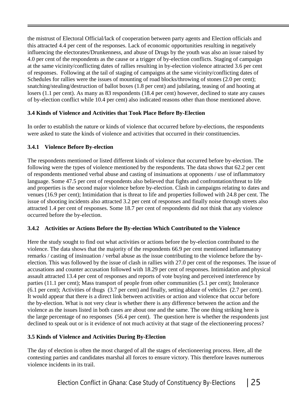the mistrust of Electoral Official/lack of cooperation between party agents and Election officials and this attracted 4.4 per cent of the responses. Lack of economic opportunities resulting in negatively influencing the electorates/Drunkenness, and abuse of Drugs by the youth was also an issue raised by 4.0 per cent of the respondents as the cause or a trigger of by-election conflicts. Staging of campaign at the same vicinity/conflicting dates of rallies resulting in by-election violence attracted 3.6 per cent of responses. Following at the tail of staging of campaigns at the same vicinity/conflicting dates of Schedules for rallies were the issues of mounting of road blocks/throwing of stones (2.0 per cent); snatching/stealing/destruction of ballot boxes (1.8 per cent) and jubilating, teasing of and hooting at losers (1.1 per cent). As many as 83 respondents (18.4 per cent) however, declined to state any causes of by-election conflict while 10.4 per cent) also indicated reasons other than those mentioned above.

#### **3.4 Kinds of Violence and Activities that Took Place Before By-Election**

In order to establish the nature or kinds of violence that occurred before by-elections, the respondents were asked to state the kinds of violence and activities that occurred in their constituencies.

#### **3.4.1 Violence Before By-election**

The respondents mentioned or listed different kinds of violence that occurred before by-election. The following were the types of violence mentioned by the respondents. The data shows that 62.2 per cent of respondents mentioned verbal abuse and casting of insinuations at opponents / use of inflammatory language. Some 47.5 per cent of respondents also believed that fights and confrontation/threat to life and properties is the second major violence before by-election. Clash in campaigns relating to dates and venues (16.9 per cent); Intimidation that is threat to life and properties followed with 24.8 per cent. The issue of shooting incidents also attracted 3.2 per cent of responses and finally noise through streets also attracted 1.4 per cent of responses. Some 18.7 per cent of respondents did not think that any violence occurred before the by-election.

#### **3.4.2 Activities or Actions Before the By-election Which Contributed to the Violence**

Here the study sought to find out what activities or actions before the by-election contributed to the violence. The data shows that the majority of the respondents 66.9 per cent mentioned inflammatory remarks / casting of insinuation / verbal abuse as the issue contributing to the violence before the byelection. This was followed by the issue of clash in rallies with 27.0 per cent of the responses. The issue of accusations and counter accusation followed with 18.29 per cent of responses. Intimidation and physical assault attracted 13.4 per cent of responses and reports of vote buying and perceived interference by parties (11.1 per cent); Mass transport of people from other communities (5.1 per cent); Intolerance (6.1 per cent); Activities of thugs (3.7 per cent) and finally, setting ablaze of vehicles (2.7 per cent). It would appear that there is a direct link between activities or action and violence that occur before the by-election. What is not very clear is whether there is any difference between the action and the violence as the issues listed in both cases are about one and the same. The one thing striking here is the large percentage of no responses (56.4 per cent). The question here is whether the respondents just declined to speak out or is it evidence of not much activity at that stage of the electioneering process?

#### **3.5 Kinds of Violence and Activities During By-Election**

The day of election is often the most charged of all the stages of electioneering process. Here, all the contesting parties and candidates marshal all forces to ensure victory. This therefore leaves numerous violence incidents in its trail.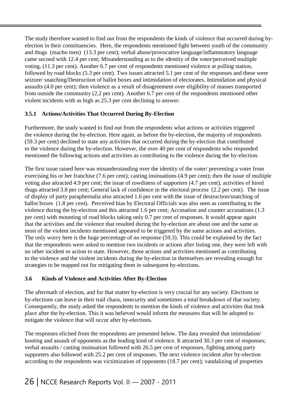The study therefore wanted to find out from the respondents the kinds of violence that occurred during byelection in their constituencies. Here, the respondents mentioned fight between youth of the community and thugs (macho men) (13.3 per cent); verbal abuse/provocative language/inflammatory language came second with 12.4 per cent; Misunderstanding as to the identity of the voter/perceived multiple voting, (11.3 per cent). Another 6.7 per cent of respondents mentioned violence at polling station, followed by road blocks (5.3 per cent). Two issues attracted 5.1 per cent of the responses and these were seizure/ snatching/Destruction of ballot boxes and intimidation of electorates. Intimidation and physical assaults (4.0 per cent); then violence as a result of disagreement over eligibility of masses transported from outside the community (2.2 per cent). Another 6.7 per cent of the respondents mentioned other violent incidents with as high as 25.3 per cent declining to answer.

#### **3.5.1 Actions/Activities That Occurred During By-Election**

Furthermore, the study wanted to find out from the respondents what actions or activities triggered the violence during the by-election. Here again, as before the by-election, the majority of respondents (59.3 per cent) declined to state any activities that occurred during the by-election that contributed to the violence during the by-election. However, the over 40 per cent of respondents who responded mentioned the following actions and activities as contributing to the violence during the by-election.

The first issue raised here was misunderstanding over the identity of the voter/ preventing a voter from exercising his or her franchise (7.6 per cent); casting insinuations (4.9 per cent); then the issue of multiple voting also attracted 4.9 per cent; the issue of rowdiness of supporters (4.7 per cent), activities of hired thugs attracted 3.8 per cent; General lack of confidence in the electoral process (2.2 per cent). The issue of display of party paraphernalia also attracted 1.6 per cent with the issue of destruction/snatching of ballot boxes (1.8 per cent). Perceived bias by Electoral Officials was also seen as contributing to the violence during the by-election and this attracted 1.6 per cent; Accusation and counter accusations (1.3 per cent) with mounting of road blocks taking only 0.7 per cent of responses. It would appear again that the activities and the violence that resulted during the by-election are about one and the same as most of the violent incidents mentioned appeared to be triggered by the same actions and activities. The only worry here is the huge percentage of no response (59.3). This could be explained by the fact that the respondents were asked to mention two incidents or actions after listing one, they were left with no other incident or action to state. However, those actions and activities mentioned as contributing to the violence and the violent incidents during the by-election in themselves are revealing enough for strategies to be mapped out for mitigating them in subsequent by-elections.

#### **3.6 Kinds of Violence and Activities After By-Election**

The aftermath of election, and for that matter by-election is very crucial for any society. Elections or by-elections can leave in their trail chaos, insecurity and sometimes a total breakdown of that society. Consequently, the study asked the respondents to mention the kinds of violence and activities that took place after the by-election. This it was believed would inform the measures that will be adopted to mitigate the violence that will occur after by-elections.

The responses elicited from the respondents are presented below. The data revealed that intimidation/ hooting and assault of opponents as the leading kind of violence. It attracted 30.3 per cent of responses; verbal assaults / casting insinuation followed with 26.5 per cent of responses, fighting among party supporters also followed with 25.2 per cent of responses. The next violence incident after by-election according to the respondents was victimization of opponents (18.7 per cent); vandalizing of properties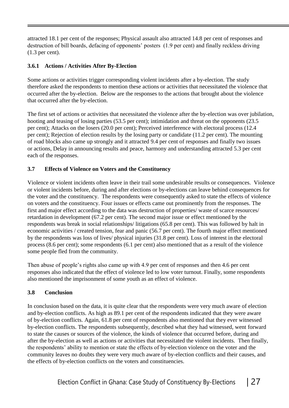attracted 18.1 per cent of the responses; Physical assault also attracted 14.8 per cent of responses and destruction of bill boards, defacing of opponents' posters (1.9 per cent) and finally reckless driving (1.3 per cent).

#### **3.6.1 Actions / Activities After By-Election**

Some actions or activities trigger corresponding violent incidents after a by-election. The study therefore asked the respondents to mention these actions or activities that necessitated the violence that occurred after the by-election. Below are the responses to the actions that brought about the violence that occurred after the by-election.

The first set of actions or activities that necessitated the violence after the by-election was over jubilation, hooting and teasing of losing parties (53.5 per cent); intimidation and threat on the opponents (23.5 per cent); Attacks on the losers (20.0 per cent); Perceived interference with electoral process (12.4 per cent); Rejection of election results by the losing party or candidate (11.2 per cent). The mounting of road blocks also came up strongly and it attracted 9.4 per cent of responses and finally two issues or actions, Delay in announcing results and peace, harmony and understanding attracted 5.3 per cent each of the responses.

#### **3.7 Effects of Violence on Voters and the Constituency**

Violence or violent incidents often leave in their trail some undesirable results or consequences. Violence or violent incidents before, during and after elections or by-elections can leave behind consequences for the voter and the constituency. The respondents were consequently asked to state the effects of violence on voters and the constituency. Four issues or effects came out prominently from the responses. The first and major effect according to the data was destruction of properties/ waste of scarce resources/ retardation in development (67.2 per cent). The second major issue or effect mentioned by the respondents was break in social relationships/ litigations (65.8 per cent). This was followed by halt in economic activities / created tension, fear and panic (56.7 per cent). The fourth major effect mentioned by the respondents was loss of lives/ physical injuries (31.8 per cent). Loss of interest in the electoral process (8.6 per cent); some respondents (6.1 per cent) also mentioned that as a result of the violence some people fled from the community.

Then abuse of people's rights also came up with 4.9 per cent of responses and then 4.6 per cent responses also indicated that the effect of violence led to low voter turnout. Finally, some respondents also mentioned the imprisonment of some youth as an effect of violence.

#### **3.8 Conclusion**

In conclusion based on the data, it is quite clear that the respondents were very much aware of election and by-election conflicts. As high as 89.1 per cent of the respondents indicated that they were aware of by-election conflicts. Again, 61.8 per cent of respondents also mentioned that they ever witnessed by-election conflicts. The respondents subsequently, described what they had witnessed, went forward to state the causes or sources of the violence, the kinds of violence that occurred before, during and after the by-election as well as actions or activities that necessitated the violent incidents. Then finally, the respondents' ability to mention or state the effects of by-election violence on the voter and the community leaves no doubts they were very much aware of by-election conflicts and their causes, and the effects of by-election conflicts on the voters and constituencies.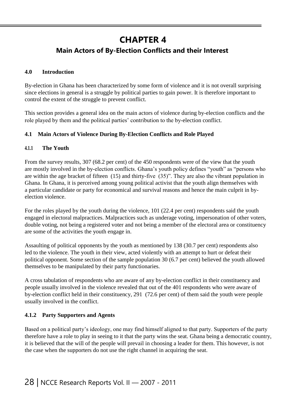### **CHAPTER 4**

### **Main Actors of By-Election Conflicts and their Interest**

#### **4.0 Introduction**

By-election in Ghana has been characterized by some form of violence and it is not overall surprising since elections in general is a struggle by political parties to gain power. It is therefore important to control the extent of the struggle to prevent conflict.

This section provides a general idea on the main actors of violence during by-election conflicts and the role played by them and the political parties' contribution to the by-election conflict.

#### **4.1 Main Actors of Violence During By-Election Conflicts and Role Played**

#### **4.1.1 The Youth**

From the survey results, 307 (68.2 per cent) of the 450 respondents were of the view that the youth are mostly involved in the by-election conflicts. Ghana's youth policy defines "youth" as "persons who are within the age bracket of fifteen (15) and thirty-five (35)". They are also the vibrant population in Ghana. In Ghana, it is perceived among young political activist that the youth align themselves with a particular candidate or party for economical and survival reasons and hence the main culprit in byelection violence.

For the roles played by the youth during the violence, 101 (22.4 per cent) respondents said the youth engaged in electoral malpractices. Malpractices such as underage voting, impersonation of other voters, double voting, not being a registered voter and not being a member of the electoral area or constituency are some of the activities the youth engage in.

Assaulting of political opponents by the youth as mentioned by 138 (30.7 per cent) respondents also led to the violence. The youth in their view, acted violently with an attempt to hurt or defeat their political opponent. Some section of the sample population 30 (6.7 per cent) believed the youth allowed themselves to be manipulated by their party functionaries.

A cross tabulation of respondents who are aware of any by-election conflict in their constituency and people usually involved in the violence revealed that out of the 401 respondents who were aware of by-election conflict held in their constituency, 291 (72.6 per cent) of them said the youth were people usually involved in the conflict.

#### **4.1.2 Party Supporters and Agents**

Based on a political party's ideology, one may find himself aligned to that party. Supporters of the party therefore have a role to play in seeing to it that the party wins the seat. Ghana being a democratic country, it is believed that the will of the people will prevail in choosing a leader for them. This however, is not the case when the supporters do not use the right channel in acquiring the seat.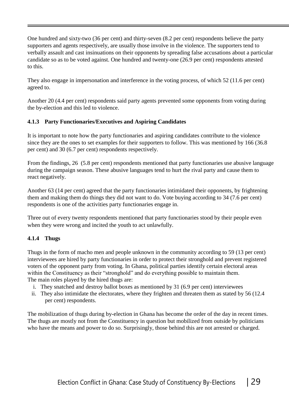One hundred and sixty-two (36 per cent) and thirty-seven (8.2 per cent) respondents believe the party supporters and agents respectively, are usually those involve in the violence. The supporters tend to verbally assault and cast insinuations on their opponents by spreading false accusations about a particular candidate so as to be voted against. One hundred and twenty-one (26.9 per cent) respondents attested to this.

They also engage in impersonation and interference in the voting process, of which 52 (11.6 per cent) agreed to.

Another 20 (4.4 per cent) respondents said party agents prevented some opponents from voting during the by-election and this led to violence.

#### **4.1.3 Party Functionaries/Executives and Aspiring Candidates**

It is important to note how the party functionaries and aspiring candidates contribute to the violence since they are the ones to set examples for their supporters to follow. This was mentioned by 166 (36.8 per cent) and 30 (6.7 per cent) respondents respectively.

From the findings, 26 (5.8 per cent) respondents mentioned that party functionaries use abusive language during the campaign season. These abusive languages tend to hurt the rival party and cause them to react negatively.

Another 63 (14 per cent) agreed that the party functionaries intimidated their opponents, by frightening them and making them do things they did not want to do. Vote buying according to 34 (7.6 per cent) respondents is one of the activities party functionaries engage in.

Three out of every twenty respondents mentioned that party functionaries stood by their people even when they were wrong and incited the youth to act unlawfully.

#### **4.1.4 Thugs**

Thugs in the form of macho men and people unknown in the community according to 59 (13 per cent) interviewees are hired by party functionaries in order to protect their stronghold and prevent registered voters of the opponent party from voting. In Ghana, political parties identify certain electoral areas within the Constituency as their "stronghold" and do everything possible to maintain them. The main roles played by the hired thugs are:

- i. They snatched and destroy ballot boxes as mentioned by 31 (6.9 per cent) interviewees
- ii. They also intimidate the electorates, where they frighten and threaten them as stated by 56 (12.4 per cent) respondents.

The mobilization of thugs during by-election in Ghana has become the order of the day in recent times. The thugs are mostly not from the Constituency in question but mobilized from outside by politicians who have the means and power to do so. Surprisingly, those behind this are not arrested or charged.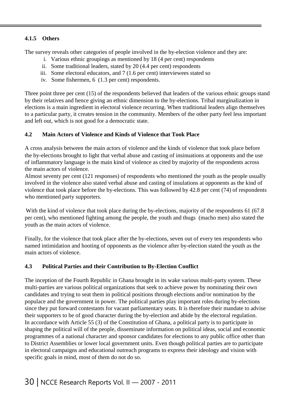#### **4.1.5 Others**

The survey reveals other categories of people involved in the by-election violence and they are:

- i. Various ethnic groupings as mentioned by 18 (4 per cent) respondents
- ii. Some traditional leaders, stated by 20 (4.4 per cent) respondents
- iii. Some electoral educators, and 7 (1.6 per cent) interviewees stated so
- iv. Some fishermen, 6 (1.3 per cent) respondents.

Three point three per cent (15) of the respondents believed that leaders of the various ethnic groups stand by their relatives and hence giving an ethnic dimension to the by-elections. Tribal marginalization in elections is a main ingredient in electoral violence recurring. When traditional leaders align themselves to a particular party, it creates tension in the community. Members of the other party feel less important and left out, which is not good for a democratic state.

#### **4.2 Main Actors of Violence and Kinds of Violence that Took Place**

A cross analysis between the main actors of violence and the kinds of violence that took place before the by-elections brought to light that verbal abuse and casting of insinuations at opponents and the use of inflammatory language is the main kind of violence as cited by majority of the respondents across the main actors of violence.

Almost seventy per cent (121 responses) of respondents who mentioned the youth as the people usually involved in the violence also stated verbal abuse and casting of insulations at opponents as the kind of violence that took place before the by-elections. This was followed by 42.8 per cent (74) of respondents who mentioned party supporters.

With the kind of violence that took place during the by-elections, majority of the respondents 61 (67.8) per cent), who mentioned fighting among the people, the youth and thugs (macho men) also stated the youth as the main actors of violence.

Finally, for the violence that took place after the by-elections, seven out of every ten respondents who named intimidation and hooting of opponents as the violence after by-election stated the youth as the main actors of violence.

#### **4.3 Political Parties and their Contribution to By-Election Conflict**

The inception of the Fourth Republic in Ghana brought in its wake various multi-party system. These multi-parties are various political organizations that seek to achieve power by nominating their own candidates and trying to seat them in political positions through elections and/or nomination by the populace and the government in power. The political parties play important roles during by-elections since they put forward contestants for vacant parliamentary seats. It is therefore their mandate to advise their supporters to be of good character during the by-election and abide by the electoral regulation. In accordance with Article 55 (3) of the Constitution of Ghana, a political party is to participate in shaping the political will of the people, disseminate information on political ideas, social and economic programmes of a national character and sponsor candidates for elections to any public office other than to District Assemblies or lower local government units. Even though political parties are to participate in electoral campaigns and educational outreach programs to express their ideology and vision with specific goals in mind, most of them do not do so.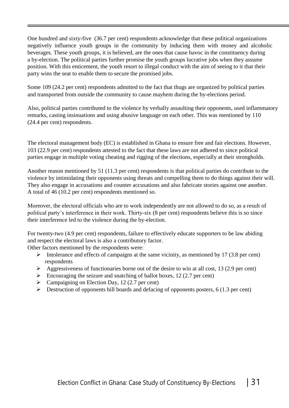One hundred and sixty-five (36.7 per cent) respondents acknowledge that these political organizations negatively influence youth groups in the community by inducing them with money and alcoholic beverages. These youth groups, it is believed, are the ones that cause havoc in the constituency during a by-election. The political parties further promise the youth groups lucrative jobs when they assume position. With this enticement, the youth resort to illegal conduct with the aim of seeing to it that their party wins the seat to enable them to secure the promised jobs.

Some 109 (24.2 per cent) respondents admitted to the fact that thugs are organized by political parties and transported from outside the community to cause mayhem during the by-elections period.

Also, political parties contributed to the violence by verbally assaulting their opponents, used inflammatory remarks, casting insinuations and using abusive language on each other. This was mentioned by 110 (24.4 per cent) respondents.

The electoral management body (EC) is established in Ghana to ensure free and fair elections. However, 103 (22.9 per cent) respondents attested to the fact that these laws are not adhered to since political parties engage in multiple voting cheating and rigging of the elections, especially at their strongholds.

Another reason mentioned by 51 (11.3 per cent) respondents is that political parties do contribute to the violence by intimidating their opponents using threats and compelling them to do things against their will. They also engage in accusations and counter accusations and also fabricate stories against one another. A total of 46 (10.2 per cent) respondents mentioned so.

Moreover, the electoral officials who are to work independently are not allowed to do so, as a result of political party's interference in their work. Thirty-six (8 per cent) respondents believe this is so since their interference led to the violence during the by-election.

For twenty-two (4.9 per cent) respondents, failure to effectively educate supporters to be law abiding and respect the electoral laws is also a contributory factor.

Other factors mentioned by the respondents were:

- $\triangleright$  Intolerance and effects of campaigns at the same vicinity, as mentioned by 17 (3.8 per cent) respondents
- $\triangleright$  Aggressiveness of functionaries borne out of the desire to win at all cost, 13 (2.9 per cent)
- Encouraging the seizure and snatching of ballot boxes, 12 (2.7 per cent)
- $\triangleright$  Campaigning on Election Day, 12 (2.7 per cent)
- $\triangleright$  Destruction of opponents bill boards and defacing of opponents posters, 6 (1.3 per cent)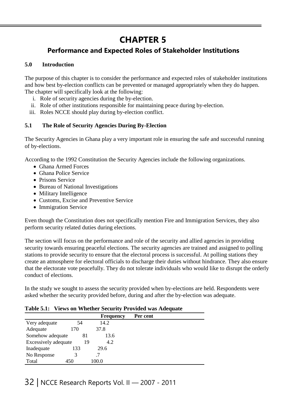# **CHAPTER 5**

### **Performance and Expected Roles of Stakeholder Institutions**

#### **5.0 Introduction**

The purpose of this chapter is to consider the performance and expected roles of stakeholder institutions and how best by-election conflicts can be prevented or managed appropriately when they do happen. The chapter will specifically look at the following:

- i. Role of security agencies during the by-election.
- ii. Role of other institutions responsible for maintaining peace during by-election.
- iii. Roles NCCE should play during by-election conflict.

#### **5.1 The Role of Security Agencies During By-Election**

The Security Agencies in Ghana play a very important role in ensuring the safe and successful running of by-elections.

According to the 1992 Constitution the Security Agencies include the following organizations.

- Ghana Armed Forces
- Ghana Police Service
- Prisons Service
- Bureau of National Investigations
- Military Intelligence
- Customs, Excise and Preventive Service
- Immigration Service

Even though the Constitution does not specifically mention Fire and Immigration Services, they also perform security related duties during elections.

The section will focus on the performance and role of the security and allied agencies in providing security towards ensuring peaceful elections. The security agencies are trained and assigned to polling stations to provide security to ensure that the electoral process is successful. At polling stations they create an atmosphere for electoral officials to discharge their duties without hindrance. They also ensure that the electorate vote peacefully. They do not tolerate individuals who would like to disrupt the orderly conduct of elections.

In the study we sought to assess the security provided when by-elections are held. Respondents were asked whether the security provided before, during and after the by-election was adequate.

#### **Table 5.1: Views on Whether Security Provided was Adequate**

|                      |     |       | <b>Frequency</b> | Per cent |  |
|----------------------|-----|-------|------------------|----------|--|
| Very adequate        | 54  |       | 14.2             |          |  |
| Adequate             | 170 | 37.8  |                  |          |  |
| Somehow adequate     |     | 81    | 13.6             |          |  |
| Excessively adequate |     | 19    | 4.2              |          |  |
| Inadequate           | 133 | 29.6  |                  |          |  |
| No Response          |     |       |                  |          |  |
| Total                | 450 | 100.0 |                  |          |  |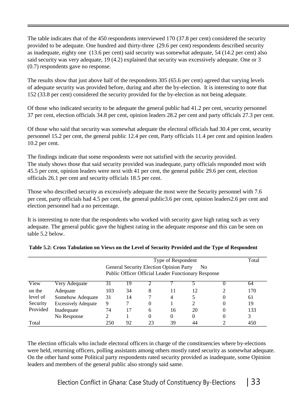The table indicates that of the 450 respondents interviewed 170 (37.8 per cent) considered the security provided to be adequate. One hundred and thirty-three (29.6 per cent) respondents described security as inadequate, eighty one (13.6 per cent) said security was somewhat adequate, 54 (14.2 per cent) also said security was very adequate, 19 (4.2) explained that security was excessively adequate. One or 3 (0.7) respondents gave no response.

The results show that just above half of the respondents 305 (65.6 per cent) agreed that varying levels of adequate security was provided before, during and after the by-election. It is interesting to note that 152 (33.8 per cent) considered the security provided for the by-election as not being adequate.

Of those who indicated security to be adequate the general public had 41.2 per cent, security personnel 37 per cent, election officials 34.8 per cent, opinion leaders 28.2 per cent and party officials 27.3 per cent.

Of those who said that security was somewhat adequate the electoral officials had 30.4 per cent, security personnel 15.2 per cent, the general public 12.4 per cent, Party officials 11.4 per cent and opinion leaders 10.2 per cent.

The findings indicate that some respondents were not satisfied with the security provided. The study shows those that said security provided was inadequate, party officials responded most with 45.5 per cent, opinion leaders were next with 41 per cent, the general public 29.6 per cent, election officials 26.1 per cent and security officials 18.5 per cent.

Those who described security as excessively adequate the most were the Security personnel with 7.6 per cent, party officials had 4.5 per cent, the general public3.6 per cent, opinion leaders2.6 per cent and election personnel had a no percentage.

It is interesting to note that the respondents who worked with security gave high rating such as very adequate. The general public gave the highest rating in the adequate response and this can be seen on table 5.2 below.

|          |                             |     | Type of Respondent                                                                                                             |    |          |                       |  |     |  |  |
|----------|-----------------------------|-----|--------------------------------------------------------------------------------------------------------------------------------|----|----------|-----------------------|--|-----|--|--|
|          |                             |     | <b>General Security Election Opinion Party</b><br>N <sub>o</sub><br><b>Public Officer Official Leader Functionary Response</b> |    |          |                       |  |     |  |  |
| View     | Very Adequate               |     | ۱9                                                                                                                             |    |          |                       |  | 64  |  |  |
| on the   | Adequate                    | 103 | 34                                                                                                                             | 8  | 11       | 12                    |  | 170 |  |  |
| level of | Somehow Adequate            | 31  | 14                                                                                                                             |    | 4        |                       |  | 61  |  |  |
| Security | <b>Excessively Adequate</b> | 9   |                                                                                                                                | 0  |          | $\mathcal{D}_{\cdot}$ |  | 19  |  |  |
| Provided | Inadequate                  | 74  | 17                                                                                                                             | 6  | 16       | 20                    |  | 133 |  |  |
|          | No Response                 |     |                                                                                                                                | 0  | $\Omega$ | $\Omega$              |  | 3   |  |  |
| Total    |                             | 250 | 92                                                                                                                             | 23 | 39       | 44                    |  | 450 |  |  |

|  | Table 5.2: Cross Tabulation on Views on the Level of Security Provided and the Type of Respondent |  |  |  |  |
|--|---------------------------------------------------------------------------------------------------|--|--|--|--|
|  |                                                                                                   |  |  |  |  |

The election officials who include electoral officers in charge of the constituencies where by-elections were held, returning officers, polling assistants among others mostly rated security as somewhat adequate. On the other hand some Political party respondents rated security provided as inadequate, some Opinion leaders and members of the general public also strongly said same.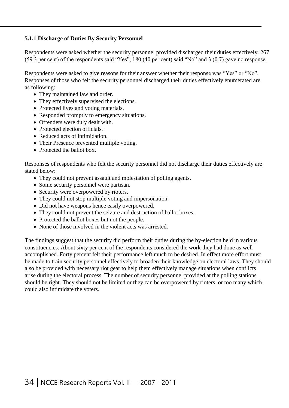#### **5.1.1 Discharge of Duties By Security Personnel**

Respondents were asked whether the security personnel provided discharged their duties effectively. 267 (59.3 per cent) of the respondents said "Yes", 180 (40 per cent) said "No" and 3 (0.7) gave no response.

Respondents were asked to give reasons for their answer whether their response was "Yes" or "No". Responses of those who felt the security personnel discharged their duties effectively enumerated are as following:

- They maintained law and order.
- They effectively supervised the elections.
- Protected lives and voting materials.
- Responded promptly to emergency situations.
- Offenders were duly dealt with.
- Protected election officials.
- Reduced acts of intimidation.
- Their Presence prevented multiple voting.
- Protected the ballot box.

Responses of respondents who felt the security personnel did not discharge their duties effectively are stated below:

- They could not prevent assault and molestation of polling agents.
- Some security personnel were partisan.
- Security were overpowered by rioters.
- They could not stop multiple voting and impersonation.
- Did not have weapons hence easily overpowered.
- They could not prevent the seizure and destruction of ballot boxes.
- Protected the ballot boxes but not the people.
- None of those involved in the violent acts was arrested.

The findings suggest that the security did perform their duties during the by-election held in various constituencies. About sixty per cent of the respondents considered the work they had done as well accomplished. Forty percent felt their performance left much to be desired. In effect more effort must be made to train security personnel effectively to broaden their knowledge on electoral laws. They should also be provided with necessary riot gear to help them effectively manage situations when conflicts arise during the electoral process. The number of security personnel provided at the polling stations should be right. They should not be limited or they can be overpowered by rioters, or too many which could also intimidate the voters.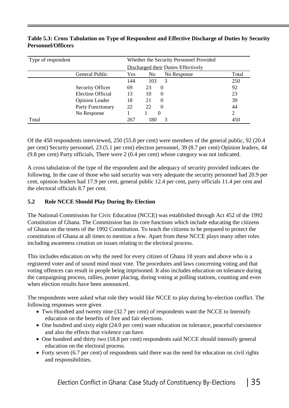| Type of respondent |                          | Whether the Security Personnel Provided |                                     |       |  |  |
|--------------------|--------------------------|-----------------------------------------|-------------------------------------|-------|--|--|
|                    |                          |                                         | Discharged their Duties Effectively |       |  |  |
|                    | General Public           | Yes                                     | No Response<br>N <sub>0</sub>       | Total |  |  |
|                    |                          | 144                                     | 103<br>3                            | 250   |  |  |
|                    | <b>Security Officer</b>  | 69                                      | 23<br>$\theta$                      | 92    |  |  |
|                    | <b>Election Official</b> | 13                                      | 10<br>$\theta$                      | 23    |  |  |
|                    | <b>Opinion Leader</b>    | 18                                      | 21<br>$\theta$                      | 39    |  |  |
|                    | Party Functionary        | 22                                      | 22<br>$\Omega$                      | 44    |  |  |
|                    | No Response              |                                         | $\theta$                            | 2     |  |  |
| Total              |                          | 267                                     | 180<br>3                            | 450   |  |  |

#### **Table 5.3: Cross Tabulation on Type of Respondent and Effective Discharge of Duties by Security Personnel/Officers**

Of the 450 respondents interviewed, 250 (55.8 per cent) were members of the general public, 92 (20.4 per cent) Security personnel, 23 (5.1 per cent) election personnel, 39 (8.7 per cent) Opinion leaders, 44 (9.8 per cent) Party officials, There were 2 (0.4 per cent) whose category was not indicated.

A cross tabulation of the type of the respondent and the adequacy of security provided indicates the following. In the case of those who said security was very adequate the security personnel had 20.9 per cent, opinion leaders had 17.9 per cent, general public 12.4 per cent, party officials 11.4 per cent and the electoral officials 8.7 per cent.

#### **5.2 Role NCCE Should Play During By-Election**

The National Commission for Civic Education (NCCE) was established through Act 452 of the 1992 Constitution of Ghana. The Commission has its core functions which include educating the citizens of Ghana on the tenets of the 1992 Constitution. To teach the citizens to be prepared to protect the constitution of Ghana at all times to mention a few. Apart from these NCCE plays many other roles including awareness creation on issues relating to the electoral process.

This includes education on why the need for every citizen of Ghana 18 years and above who is a registered voter and of sound mind must vote. The procedures and laws concerning voting and that voting offences can result in people being imprisoned. It also includes education on tolerance during the campaigning process, rallies, poster placing, during voting at polling stations, counting and even when election results have been announced.

The respondents were asked what role they would like NCCE to play during by-election conflict. The following responses were given

- Two Hundred and twenty nine (32.7 per cent) of respondents want the NCCE to Intensify education on the benefits of free and fair elections.
- One hundred and sixty eight (24.0 per cent) want education on tolerance, peaceful coexistence and also the effects that violence can have.
- One hundred and thirty two (18.8 per cent) respondents said NCCE should intensify general education on the electoral process.
- Forty seven (6.7 per cent) of respondents said there was the need for education on civil rights and responsibilities.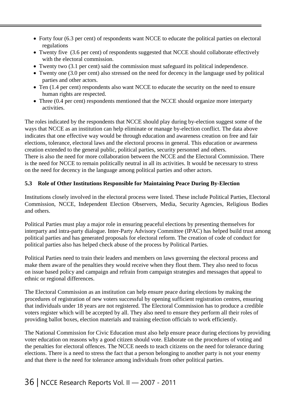- Forty four (6.3 per cent) of respondents want NCCE to educate the political parties on electoral regulations
- Twenty five (3.6 per cent) of respondents suggested that NCCE should collaborate effectively with the electoral commission.
- Twenty two (3.1 per cent) said the commission must safeguard its political independence.
- Twenty one (3.0 per cent) also stressed on the need for decency in the language used by political parties and other actors.
- Ten (1.4 per cent) respondents also want NCCE to educate the security on the need to ensure human rights are respected.
- Three (0.4 per cent) respondents mentioned that the NCCE should organize more interparty activities.

The roles indicated by the respondents that NCCE should play during by-election suggest some of the ways that NCCE as an institution can help eliminate or manage by-election conflict. The data above indicates that one effective way would be through education and awareness creation on free and fair elections, tolerance, electoral laws and the electoral process in general. This education or awareness creation extended to the general public, political parties, security personnel and others. There is also the need for more collaboration between the NCCE and the Electoral Commission. There is the need for NCCE to remain politically neutral in all its activities. It would be necessary to stress

on the need for decency in the language among political parties and other actors.

#### **5.3 Role of Other Institutions Responsible for Maintaining Peace During By-Election**

Institutions closely involved in the electoral process were listed. These include Political Parties, Electoral Commission, NCCE, Independent Election Observers, Media, Security Agencies, Religious Bodies and others.

Political Parties must play a major role in ensuring peaceful elections by presenting themselves for interparty and intra-party dialogue. Inter-Party Advisory Committee (IPAC) has helped build trust among political parties and has generated proposals for electoral reform. The creation of code of conduct for political parties also has helped check abuse of the process by Political Parties.

Political Parties need to train their leaders and members on laws governing the electoral process and make them aware of the penalties they would receive when they flout them. They also need to focus on issue based policy and campaign and refrain from campaign strategies and messages that appeal to ethnic or regional differences.

The Electoral Commission as an institution can help ensure peace during elections by making the procedures of registration of new voters successful by opening sufficient registration centres, ensuring that individuals under 18 years are not registered. The Electoral Commission has to produce a credible voters register which will be accepted by all. They also need to ensure they perform all their roles of providing ballot boxes, election materials and training election officials to work efficiently.

The National Commission for Civic Education must also help ensure peace during elections by providing voter education on reasons why a good citizen should vote. Elaborate on the procedures of voting and the penalties for electoral offences. The NCCE needs to teach citizens on the need for tolerance during elections. There is a need to stress the fact that a person belonging to another party is not your enemy and that there is the need for tolerance among individuals from other political parties.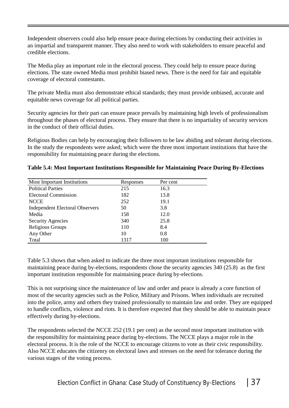Independent observers could also help ensure peace during elections by conducting their activities in an impartial and transparent manner. They also need to work with stakeholders to ensure peaceful and credible elections.

The Media play an important role in the electoral process. They could help to ensure peace during elections. The state owned Media must prohibit biased news. There is the need for fair and equitable coverage of electoral contestants.

The private Media must also demonstrate ethical standards; they must provide unbiased, accurate and equitable news coverage for all political parties.

Security agencies for their part can ensure peace prevails by maintaining high levels of professionalism throughout the phases of electoral process. They ensure that there is no impartiality of security services in the conduct of their official duties.

Religious Bodies can help by encouraging their followers to be law abiding and tolerant during elections. In the study the respondents were asked; which were the three most important institutions that have the responsibility for maintaining peace during the elections.

| Most Important Institutions            | Responses | Per cent |
|----------------------------------------|-----------|----------|
| <b>Political Parties</b>               | 215       | 16.3     |
| <b>Electoral Commission</b>            | 182       | 13.8     |
| <b>NCCE</b>                            | 252       | 19.1     |
| <b>Independent Electoral Observers</b> | 50        | 3.8      |
| Media                                  | 158       | 12.0     |
| <b>Security Agencies</b>               | 340       | 25.8     |
| Religious Groups                       | 110       | 8.4      |
| Any Other                              | 10        | 0.8      |
| Total                                  | 1317      | 100      |

#### **Table 5.4: Most Important Institutions Responsible for Maintaining Peace During By-Elections**

Table 5.3 shows that when asked to indicate the three most important institutions responsible for maintaining peace during by-elections, respondents chose the security agencies 340 (25.8) as the first important institution responsible for maintaining peace during by-elections.

This is not surprising since the maintenance of law and order and peace is already a core function of most of the security agencies such as the Police, Military and Prisons. When individuals are recruited into the police, army and others they trained professionally to maintain law and order. They are equipped to handle conflicts, violence and riots. It is therefore expected that they should be able to maintain peace effectively during by-elections.

The respondents selected the NCCE 252 (19.1 per cent) as the second most important institution with the responsibility for maintaining peace during by-elections. The NCCE plays a major role in the electoral process. It is the role of the NCCE to encourage citizens to vote as their civic responsibility. Also NCCE educates the citizenry on electoral laws and stresses on the need for tolerance during the various stages of the voting process.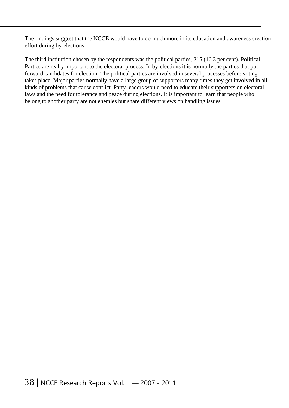The findings suggest that the NCCE would have to do much more in its education and awareness creation effort during by-elections.

The third institution chosen by the respondents was the political parties, 215 (16.3 per cent). Political Parties are really important to the electoral process. In by-elections it is normally the parties that put forward candidates for election. The political parties are involved in several processes before voting takes place. Major parties normally have a large group of supporters many times they get involved in all kinds of problems that cause conflict. Party leaders would need to educate their supporters on electoral laws and the need for tolerance and peace during elections. It is important to learn that people who belong to another party are not enemies but share different views on handling issues.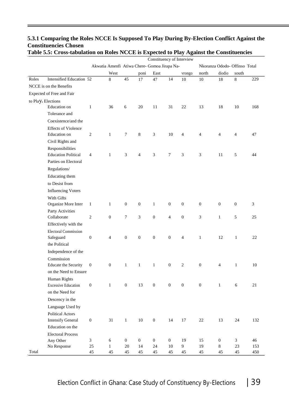|                                |                             |                  |                                              |                            |                        |                        |                    | Constituency of Interview |                  |                             |                               |            |
|--------------------------------|-----------------------------|------------------|----------------------------------------------|----------------------------|------------------------|------------------------|--------------------|---------------------------|------------------|-----------------------------|-------------------------------|------------|
|                                |                             |                  | Akwatia Amenfi Atiwa Chere- Gomoa Jirapa Na- |                            |                        |                        |                    |                           |                  |                             | Nkoranza Ododo- Offinso Total |            |
|                                |                             |                  | West                                         |                            | poni                   | East                   |                    | vrongo                    | north            | diodio                      | south                         |            |
| Roles                          | Intensified Education 52    |                  | $\bf 8$                                      | 45                         | $17\,$                 | 47                     | 14                 | 10                        | $10\,$           | 18                          | $\,8\,$                       | 229        |
|                                | NCCE is on the Benefits     |                  |                                              |                            |                        |                        |                    |                           |                  |                             |                               |            |
|                                | Expected of Free and Fair   |                  |                                              |                            |                        |                        |                    |                           |                  |                             |                               |            |
| to Play <sub>a</sub> Elections |                             |                  |                                              |                            |                        |                        |                    |                           |                  |                             |                               |            |
|                                | Education on                | $\mathbf{1}$     | 36                                           | 6                          | 20                     | 11                     | 31                 | 22                        | 13               | 18                          | 10                            | 168        |
|                                | Tolerance and               |                  |                                              |                            |                        |                        |                    |                           |                  |                             |                               |            |
|                                | Coexistence/and the         |                  |                                              |                            |                        |                        |                    |                           |                  |                             |                               |            |
|                                | <b>Effects of Violence</b>  |                  |                                              |                            |                        |                        |                    |                           |                  |                             |                               |            |
|                                | Education on                | $\sqrt{2}$       | $\mathbf{1}$                                 | $\tau$                     | $\,8\,$                | 3                      | 10                 | $\overline{4}$            | $\overline{4}$   | $\overline{4}$              | $\overline{4}$                | 47         |
|                                | Civil Rights and            |                  |                                              |                            |                        |                        |                    |                           |                  |                             |                               |            |
|                                | Responsibilities            |                  |                                              |                            |                        |                        |                    |                           |                  |                             |                               |            |
|                                | <b>Education Political</b>  | $\overline{4}$   | $\mathbf{1}$                                 | 3                          | $\overline{4}$         | 3                      | $\tau$             | 3                         | 3                | 11                          | $\sqrt{5}$                    | 44         |
|                                | Parties on Electoral        |                  |                                              |                            |                        |                        |                    |                           |                  |                             |                               |            |
|                                | Regulations/                |                  |                                              |                            |                        |                        |                    |                           |                  |                             |                               |            |
|                                | Educating them              |                  |                                              |                            |                        |                        |                    |                           |                  |                             |                               |            |
|                                | to Desist from              |                  |                                              |                            |                        |                        |                    |                           |                  |                             |                               |            |
|                                | <b>Influencing Voters</b>   |                  |                                              |                            |                        |                        |                    |                           |                  |                             |                               |            |
|                                | With Gifts                  |                  |                                              |                            |                        |                        |                    |                           |                  |                             |                               |            |
|                                | Organize More Inter         | $\mathbf{1}$     | $\mathbf{1}$                                 | $\boldsymbol{0}$           | $\boldsymbol{0}$       | $\mathbf{1}$           | $\mathbf{0}$       | $\boldsymbol{0}$          | $\boldsymbol{0}$ | $\boldsymbol{0}$            | $\boldsymbol{0}$              | 3          |
|                                | Party Activities            |                  |                                              |                            |                        |                        |                    |                           |                  |                             |                               |            |
|                                | Collaborate                 | $\sqrt{2}$       | $\boldsymbol{0}$                             | 7                          | 3                      | $\boldsymbol{0}$       | $\overline{4}$     | $\boldsymbol{0}$          | 3                | $\mathbf{1}$                | $\sqrt{5}$                    | 25         |
|                                | Effectively with the        |                  |                                              |                            |                        |                        |                    |                           |                  |                             |                               |            |
|                                | <b>Electoral Commission</b> |                  |                                              |                            |                        |                        |                    |                           |                  |                             |                               |            |
|                                | Safeguard                   | $\boldsymbol{0}$ | $\overline{4}$                               | $\boldsymbol{0}$           | $\boldsymbol{0}$       | $\boldsymbol{0}$       | $\mathbf{0}$       | $\overline{4}$            | $\mathbf{1}$     | 12                          | $\mathbf{1}$                  | 22         |
|                                | the Political               |                  |                                              |                            |                        |                        |                    |                           |                  |                             |                               |            |
|                                | Independence of the         |                  |                                              |                            |                        |                        |                    |                           |                  |                             |                               |            |
|                                | Commission                  |                  |                                              |                            |                        |                        |                    |                           |                  |                             |                               |            |
|                                | <b>Educate the Security</b> | $\boldsymbol{0}$ | $\boldsymbol{0}$                             | $\mathbf{1}$               | $\mathbf{1}$           | $\mathbf{1}$           | $\boldsymbol{0}$   | $\overline{c}$            | $\boldsymbol{0}$ | 4                           | $\mathbf{1}$                  | 10         |
|                                | on the Need to Ensure       |                  |                                              |                            |                        |                        |                    |                           |                  |                             |                               |            |
|                                | Human Rights                |                  |                                              |                            |                        |                        |                    |                           |                  |                             |                               |            |
|                                | <b>Excessive Education</b>  | $\boldsymbol{0}$ | $\mathbf{1}$                                 | $\overline{0}$             | 13                     | $\mathbf{0}$           | $\mathbf{0}$       | $\boldsymbol{0}$          | $\mathbf{0}$     | $\,1\,$                     | 6                             | 21         |
|                                | on the Need for             |                  |                                              |                            |                        |                        |                    |                           |                  |                             |                               |            |
|                                | Descency in the             |                  |                                              |                            |                        |                        |                    |                           |                  |                             |                               |            |
|                                | Language Used by            |                  |                                              |                            |                        |                        |                    |                           |                  |                             |                               |            |
|                                | <b>Political Actors</b>     |                  |                                              |                            |                        |                        |                    |                           |                  |                             |                               |            |
|                                | <b>Intensify General</b>    | $\boldsymbol{0}$ | 31                                           | $\mathbf{1}$               | $10\,$                 | $\mathbf{0}$           | 14                 | $17\,$                    | $22\,$           | 13                          | 24                            | 132        |
|                                | Education on the            |                  |                                              |                            |                        |                        |                    |                           |                  |                             |                               |            |
|                                | <b>Electoral Process</b>    |                  |                                              |                            |                        |                        |                    |                           |                  |                             |                               |            |
|                                | Any Other<br>No Response    | $\mathfrak{Z}$   | $\sqrt{6}$<br>$\mathbf{1}$                   | $\boldsymbol{0}$<br>$20\,$ | $\boldsymbol{0}$<br>14 | $\boldsymbol{0}$<br>24 | $\mathbf{0}$<br>10 | 19<br>9                   | 15<br>19         | $\boldsymbol{0}$<br>$\,8\,$ | $\mathfrak{Z}$<br>23          | 46         |
| Total                          |                             | 25<br>45         | 45                                           | 45                         | 45                     | 45                     | 45                 | 45                        | 45               | 45                          | 45                            | 153<br>450 |

#### **5.3.1 Comparing the Roles NCCE Is Supposed To Play During By-Election Conflict Against the Constituencies Chosen Table 5.5: Cross-tabulation on Roles NCCE is Expected to Play Against the Constituencies**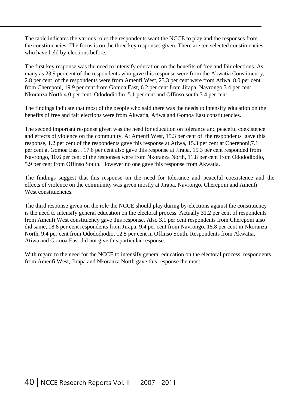The table indicates the various roles the respondents want the NCCE to play and the responses from the constituencies. The focus is on the three key responses given. There are ten selected constituencies who have held by-elections before.

The first key response was the need to intensify education on the benefits of free and fair elections. As many as 23.9 per cent of the respondents who gave this response were from the Akwatia Constituency, 2.8 per cent of the respondents were from Amenfi West, 23.3 per cent were from Atiwa, 8.0 per cent from Chereponi, 19.9 per cent from Gomoa East, 6.2 per cent from Jirapa, Navrongo 3.4 per cent, Nkoranza North 4.0 per cent, Odododiodio 5.1 per cent and Offinso south 3.4 per cent.

The findings indicate that most of the people who said there was the needs to intensify education on the benefits of free and fair elections were from Akwatia, Atiwa and Gomoa East constituencies.

The second important response given was the need for education on tolerance and peaceful coexistence and effects of violence on the community. At Amenfi West, 15.3 per cent of the respondents gave this response, 1.2 per cent of the respondents gave this response at Atiwa, 15.3 per cent at Chereponi,7.1 per cent at Gomoa East , 17.6 per cent also gave this response at Jirapa, 15.3 per cent responded from Navrongo, 10.6 per cent of the responses were from Nkoranza North, 11.8 per cent from Odododiodio, 5.9 per cent from Offinso South. However no one gave this response from Akwatia.

The findings suggest that this response on the need for tolerance and peaceful coexistence and the effects of violence on the community was given mostly at Jirapa, Navrongo, Chereponi and Amenfi West constituencies.

The third response given on the role the NCCE should play during by-elections against the constituency is the need to intensify general education on the electoral process. Actually 31.2 per cent of respondents from Amenfi West constituency gave this response. Also 3.1 per cent respondents from Chereponi also did same, 18.8 per cent respondents from Jirapa, 9.4 per cent from Navrongo, 15.8 per cent in Nkoranza North, 9.4 per cent from Odododiodio, 12.5 per cent in Offinso South. Respondents from Akwatia, Atiwa and Gomoa East did not give this particular response.

With regard to the need for the NCCE to intensify general education on the electoral process, respondents from Amenfi West, Jirapa and Nkoranza North gave this response the most.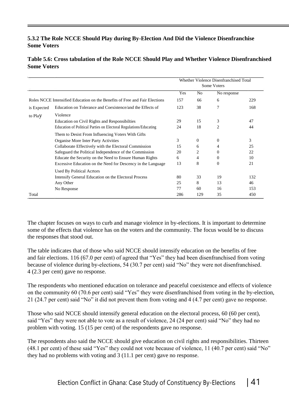#### **5.3.2 The Role NCCE Should Play during By-Election And Did the Violence Disenfranchise Some Voters**

#### **Table 5.6: Cross tabulation of the Role NCCE Should Play and Whether Violence Disenfranchised Some Voters**

|             |                                                                             |     |          | Whether Violence Disenfranchised Total<br>Some Voters |     |
|-------------|-----------------------------------------------------------------------------|-----|----------|-------------------------------------------------------|-----|
|             |                                                                             | Yes | No       | No response                                           |     |
|             | Roles NCCE Intensified Education on the Benefits of Free and Fair Elections | 157 | 66       | 6                                                     | 229 |
| is Expected | Education on Tolerance and Coexistence/and the Effects of                   | 123 | 38       | 7                                                     | 168 |
| to Play     | Violence                                                                    |     |          |                                                       |     |
|             | <b>Education on Civil Rights and Responsibilities</b>                       | 29  | 15       | 3                                                     | 47  |
|             | Education of Political Parties on Electoral Regulations/Educating           | 24  | 18       | $\overline{c}$                                        | 44  |
|             | Them to Desist From Influencing Voters With Gifts                           |     |          |                                                       |     |
|             | Organise More Inter Party Activities                                        | 3   | $\Omega$ | $\mathbf{0}$                                          | 3   |
|             | Collaborate Effectively with the Electoral Commission                       | 15  | 6        | 4                                                     | 25  |
|             | Safeguard the Political Independence of the Commission                      | 20  | 2        | 0                                                     | 22  |
|             | Educate the Security on the Need to Ensure Human Rights                     | 6   | 4        | 0                                                     | 10  |
|             | Excessive Education on the Need for Descency in the Language                | 13  | 8        | $\boldsymbol{0}$                                      | 21  |
|             | <b>Used By Political Acrtors</b>                                            |     |          |                                                       |     |
|             | Intensify General Education on the Electoral Process                        | 80  | 33       | 19                                                    | 132 |
|             | Any Other                                                                   | 25  | 8        | 13                                                    | 46  |
|             | No Response                                                                 | 77  | 60       | 16                                                    | 153 |
| Total       |                                                                             | 286 | 129      | 35                                                    | 450 |

The chapter focuses on ways to curb and manage violence in by-elections. It is important to determine some of the effects that violence has on the voters and the community. The focus would be to discuss the responses that stood out.

The table indicates that of those who said NCCE should intensify education on the benefits of free and fair elections. 116 (67.0 per cent) of agreed that "Yes" they had been disenfranchised from voting because of violence during by-elections, 54 (30.7 per cent) said "No" they were not disenfranchised. 4 (2.3 per cent) gave no response.

The respondents who mentioned education on tolerance and peaceful coexistence and effects of violence on the community 60 (70.6 per cent) said "Yes" they were disenfranchised from voting in the by-election, 21 (24.7 per cent) said "No" it did not prevent them from voting and 4 (4.7 per cent) gave no response.

Those who said NCCE should intensify general education on the electoral process, 60 (60 per cent), said "Yes" they were not able to vote as a result of violence, 24 (24 per cent) said "No" they had no problem with voting. 15 (15 per cent) of the respondents gave no response.

The respondents also said the NCCE should give education on civil rights and responsibilities. Thirteen (48.1 per cent) of these said "Yes" they could not vote because of violence, 11 (40.7 per cent) said "No" they had no problems with voting and 3 (11.1 per cent) gave no response.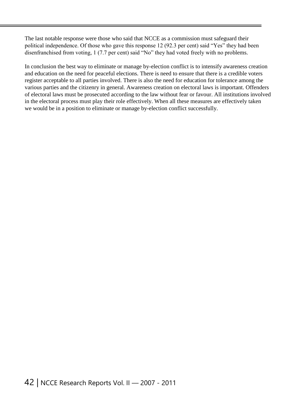The last notable response were those who said that NCCE as a commission must safeguard their political independence. Of those who gave this response 12 (92.3 per cent) said "Yes" they had been disenfranchised from voting, 1 (7.7 per cent) said "No" they had voted freely with no problems.

In conclusion the best way to eliminate or manage by-election conflict is to intensify awareness creation and education on the need for peaceful elections. There is need to ensure that there is a credible voters register acceptable to all parties involved. There is also the need for education for tolerance among the various parties and the citizenry in general. Awareness creation on electoral laws is important. Offenders of electoral laws must be prosecuted according to the law without fear or favour. All institutions involved in the electoral process must play their role effectively. When all these measures are effectively taken we would be in a position to eliminate or manage by-election conflict successfully.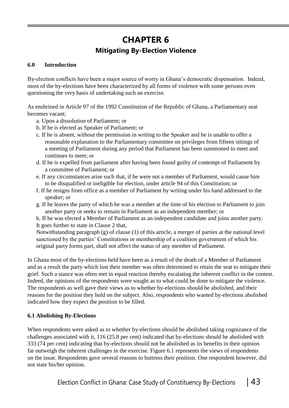### **CHAPTER 6 Mitigating By-Election Violence**

#### **6.0 Introduction**

By-election conflicts have been a major source of worry in Ghana's democratic dispensation. Indeed, most of the by-elections have been characterized by all forms of violence with some persons even questioning the very basis of undertaking such an exercise.

As enshrined in Article 97 of the 1992 Constitution of the Republic of Ghana, a Parliamentary seat becomes vacant;

- a. Upon a dissolution of Parliament; or
- b. If he is elected as Speaker of Parliament; or
- c. If he is absent, without the permission in writing to the Speaker and he is unable to offer a reasonable explanation to the Parliamentary committee on privileges from fifteen sittings of a meeting of Parliament during any period that Parliament has been summoned to meet and continues to meet; or
- d. If he is expelled from parliament after having been found guilty of contempt of Parliament by a committee of Parliament; or
- e. If any circumstances arise such that, if he were not a member of Parliament, would cause him to be disqualified or ineligible for election, under article 94 of this Constitution; or
- f. If he resigns from office as a member of Parliament by writing under his hand addressed to the speaker; or
- g. If he leaves the party of which he was a member at the time of his election to Parliament to join another party or seeks to remain in Parliament as an independent member; or

h. If he was elected a Member of Parliament as an independent candidate and joins another party. It goes further to state in Clause 2 that,

Notwithstanding paragraph (g) of clause (1) of this article, a merger of parties at the national level sanctioned by the parties' Constitutions or membership of a coalition government of which his original party forms part, shall not affect the status of any member of Parliament.

In Ghana most of the by-elections held have been as a result of the death of a Member of Parliament and as a result the party which lost their member was often determined to retain the seat to mitigate their grief. Such a stance was often met in equal reaction thereby escalating the inherent conflict in the contest. Indeed, the opinions of the respondents were sought as to what could be done to mitigate the violence. The respondents as well gave their views as to whether by-elections should be abolished, and their reasons for the position they hold on the subject. Also, respondents who wanted by-elections abolished indicated how they expect the position to be filled.

#### **6.1 Abolishing By-Elections**

When respondents were asked as to whether by-elections should be abolished taking cognizance of the challenges associated with it, 116 (25.8 per cent) indicated that by-elections should be abolished with 333 (74 per cent) indicating that by-elections should not be abolished as its benefits in their opinion far outweigh the inherent challenges in the exercise. Figure 6.1 represents the views of respondents on the issue. Respondents gave several reasons to buttress their position. One respondent however, did not state his/her opinion.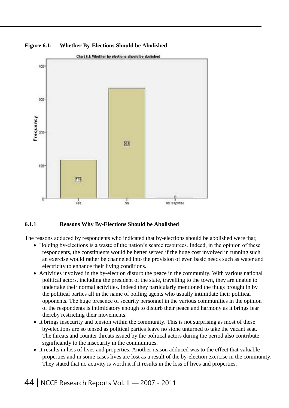

**Figure 6.1: Whether By-Elections Should be Abolished**

#### **6.1.1 Reasons Why By-Elections Should be Abolished**

The reasons adduced by respondents who indicated that by-elections should be abolished were that;

- Holding by-elections is a waste of the nation's scarce resources. Indeed, in the opinion of these respondents, the constituents would be better served if the huge cost involved in running such an exercise would rather be channeled into the provision of even basic needs such as water and electricity to enhance their living conditions.
- Activities involved in the by-election disturb the peace in the community. With various national political actors, including the president of the state, travelling to the town, they are unable to undertake their normal activities. Indeed they particularly mentioned the thugs brought in by the political parties all in the name of polling agents who usually intimidate their political opponents. The huge presence of security personnel in the various communities in the opinion of the respondents is intimidatory enough to disturb their peace and harmony as it brings fear thereby restricting their movements.
- It brings insecurity and tension within the community. This is not surprising as most of these by-elections are so tensed as political parties leave no stone unturned to take the vacant seat. The threats and counter threats issued by the political actors during the period also contribute significantly to the insecurity in the communities.
- It results in loss of lives and properties. Another reason adduced was to the effect that valuable properties and in some cases lives are lost as a result of the by-election exercise in the community. They stated that no activity is worth it if it results in the loss of lives and properties.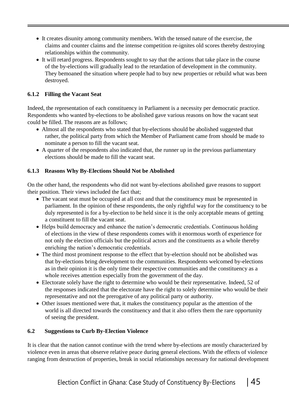- It creates disunity among community members. With the tensed nature of the exercise, the claims and counter claims and the intense competition re-ignites old scores thereby destroying relationships within the community.
- It will retard progress. Respondents sought to say that the actions that take place in the course of the by-elections will gradually lead to the retardation of development in the community. They bemoaned the situation where people had to buy new properties or rebuild what was been destroyed.

#### **6.1.2 Filling the Vacant Seat**

Indeed, the representation of each constituency in Parliament is a necessity per democratic practice. Respondents who wanted by-elections to be abolished gave various reasons on how the vacant seat could be filled. The reasons are as follows;

- Almost all the respondents who stated that by-elections should be abolished suggested that rather, the political party from which the Member of Parliament came from should be made to nominate a person to fill the vacant seat.
- A quarter of the respondents also indicated that, the runner up in the previous parliamentary elections should be made to fill the vacant seat.

#### **6.1.3 Reasons Why By-Elections Should Not be Abolished**

On the other hand, the respondents who did not want by-elections abolished gave reasons to support their position. Their views included the fact that;

- The vacant seat must be occupied at all cost and that the constituency must be represented in parliament. In the opinion of these respondents, the only rightful way for the constituency to be duly represented is for a by-election to be held since it is the only acceptable means of getting a constituent to fill the vacant seat.
- Helps build democracy and enhance the nation's democratic credentials. Continuous holding of elections in the view of these respondents comes with it enormous worth of experience for not only the election officials but the political actors and the constituents as a whole thereby enriching the nation's democratic credentials.
- The third most prominent response to the effect that by-election should not be abolished was that by-elections bring development to the communities. Respondents welcomed by-elections as in their opinion it is the only time their respective communities and the constituency as a whole receives attention especially from the government of the day.
- Electorate solely have the right to determine who would be their representative. Indeed, 52 of the responses indicated that the electorate have the right to solely determine who would be their representative and not the prerogative of any political party or authority.
- Other issues mentioned were that, it makes the constituency popular as the attention of the world is all directed towards the constituency and that it also offers them the rare opportunity of seeing the president.

#### **6.2 Suggestions to Curb By-Election Violence**

It is clear that the nation cannot continue with the trend where by-elections are mostly characterized by violence even in areas that observe relative peace during general elections. With the effects of violence ranging from destruction of properties, break in social relationships necessary for national development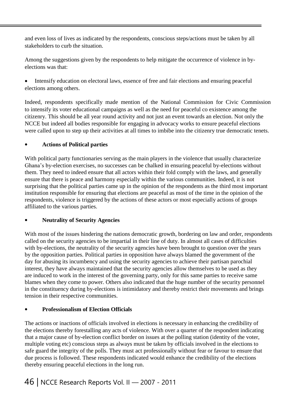and even loss of lives as indicated by the respondents, conscious steps/actions must be taken by all stakeholders to curb the situation.

Among the suggestions given by the respondents to help mitigate the occurrence of violence in byelections was that:

• Intensify education on electoral laws, essence of free and fair elections and ensuring peaceful elections among others.

Indeed, respondents specifically made mention of the National Commission for Civic Commission to intensify its voter educational campaigns as well as the need for peaceful co existence among the citizenry. This should be all year round activity and not just an event towards an election. Not only the NCCE but indeed all bodies responsible for engaging in advocacy works to ensure peaceful elections were called upon to step up their activities at all times to imbibe into the citizenry true democratic tenets.

#### **Actions of Political parties**

With political party functionaries serving as the main players in the violence that usually characterize Ghana's by-election exercises, no successes can be chalked in ensuring peaceful by-elections without them. They need to indeed ensure that all actors within their fold comply with the laws, and generally ensure that there is peace and harmony especially within the various communities. Indeed, it is not surprising that the political parties came up in the opinion of the respondents as the third most important institution responsible for ensuring that elections are peaceful as most of the time in the opinion of the respondents, violence is triggered by the actions of these actors or most especially actions of groups affiliated to the various parties.

#### **Neutrality of Security Agencies**

With most of the issues hindering the nations democratic growth, bordering on law and order, respondents called on the security agencies to be impartial in their line of duty. In almost all cases of difficulties with by-elections, the neutrality of the security agencies have been brought to question over the years by the opposition parties. Political parties in opposition have always blamed the government of the day for abusing its incumbency and using the security agencies to achieve their partisan parochial interest, they have always maintained that the security agencies allow themselves to be used as they are induced to work in the interest of the governing party, only for this same parties to receive same blames when they come to power. Others also indicated that the huge number of the security personnel in the constituency during by-elections is intimidatory and thereby restrict their movements and brings tension in their respective communities.

#### **Professionalism of Election Officials**

The actions or inactions of officials involved in elections is necessary in enhancing the credibility of the elections thereby forestalling any acts of violence. With over a quarter of the respondent indicating that a major cause of by-election conflict border on issues at the polling station (identity of the voter, multiple voting etc) conscious steps as always must be taken by officials involved in the elections to safe guard the integrity of the polls. They must act professionally without fear or favour to ensure that due process is followed. These respondents indicated would enhance the credibility of the elections thereby ensuring peaceful elections in the long run.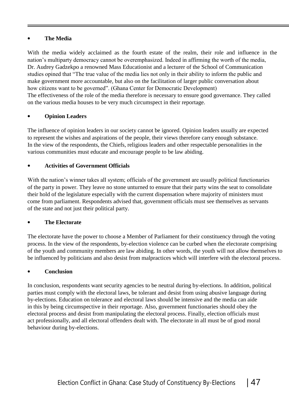#### **The Media**

With the media widely acclaimed as the fourth estate of the realm, their role and influence in the nation's multiparty democracy cannot be overemphasized. Indeed in affirming the worth of the media, Dr. Audrey Gadzekpo a renowned Mass Educationist and a lecturer of the School of Communication studies opined that "The true value of the media lies not only in their ability to inform the public and make government more accountable, but also on the facilitation of larger public conversation about how citizens want to be governed". (Ghana Center for Democratic Development) The effectiveness of the role of the media therefore is necessary to ensure good governance. They called on the various media houses to be very much circumspect in their reportage.

#### **Opinion Leaders**

The influence of opinion leaders in our society cannot be ignored. Opinion leaders usually are expected to represent the wishes and aspirations of the people, their views therefore carry enough substance. In the view of the respondents, the Chiefs, religious leaders and other respectable personalities in the various communities must educate and encourage people to be law abiding.

#### **Activities of Government Officials**

With the nation's winner takes all system; officials of the government are usually political functionaries of the party in power. They leave no stone unturned to ensure that their party wins the seat to consolidate their hold of the legislature especially with the current dispensation where majority of ministers must come from parliament. Respondents advised that, government officials must see themselves as servants of the state and not just their political party.

#### **The Electorate**

The electorate have the power to choose a Member of Parliament for their constituency through the voting process. In the view of the respondents, by-election violence can be curbed when the electorate comprising of the youth and community members are law abiding. In other words, the youth will not allow themselves to be influenced by politicians and also desist from malpractices which will interfere with the electoral process.

#### **Conclusion**

In conclusion, respondents want security agencies to be neutral during by-elections. In addition, political parties must comply with the electoral laws, be tolerant and desist from using abusive language during by-elections. Education on tolerance and electoral laws should be intensive and the media can aide in this by being circumspective in their reportage. Also, government functionaries should obey the electoral process and desist from manipulating the electoral process. Finally, election officials must act professionally, and all electoral offenders dealt with. The electorate in all must be of good moral behaviour during by-elections.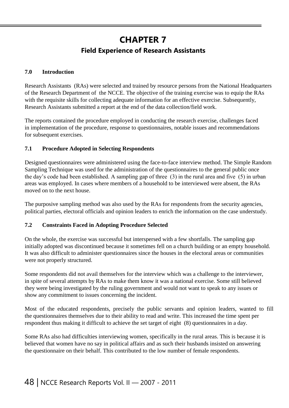### **CHAPTER 7 Field Experience of Research Assistants**

#### **7.0 Introduction**

Research Assistants (RAs) were selected and trained by resource persons from the National Headquarters of the Research Department of the NCCE. The objective of the training exercise was to equip the RAs with the requisite skills for collecting adequate information for an effective exercise. Subsequently, Research Assistants submitted a report at the end of the data collection/field work.

The reports contained the procedure employed in conducting the research exercise, challenges faced in implementation of the procedure, response to questionnaires, notable issues and recommendations for subsequent exercises.

#### **7.1 Procedure Adopted in Selecting Respondents**

Designed questionnaires were administered using the face-to-face interview method. The Simple Random Sampling Technique was used for the administration of the questionnaires to the general public once the day's code had been established. A sampling gap of three (3) in the rural area and five (5) in urban areas was employed. In cases where members of a household to be interviewed were absent, the RAs moved on to the next house.

The purposive sampling method was also used by the RAs for respondents from the security agencies, political parties, electoral officials and opinion leaders to enrich the information on the case understudy.

#### **7.2 Constraints Faced in Adopting Procedure Selected**

On the whole, the exercise was successful but interspersed with a few shortfalls. The sampling gap initially adopted was discontinued because it sometimes fell on a church building or an empty household. It was also difficult to administer questionnaires since the houses in the electoral areas or communities were not properly structured.

Some respondents did not avail themselves for the interview which was a challenge to the interviewer, in spite of several attempts by RAs to make them know it was a national exercise. Some still believed they were being investigated by the ruling government and would not want to speak to any issues or show any commitment to issues concerning the incident.

Most of the educated respondents, precisely the public servants and opinion leaders, wanted to fill the questionnaires themselves due to their ability to read and write. This increased the time spent per respondent thus making it difficult to achieve the set target of eight (8) questionnaires in a day.

Some RAs also had difficulties interviewing women, specifically in the rural areas. This is because it is believed that women have no say in political affairs and as such their husbands insisted on answering the questionnaire on their behalf. This contributed to the low number of female respondents.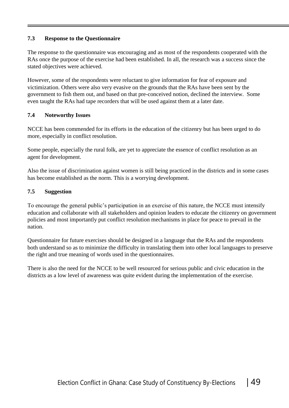#### **7.3 Response to the Questionnaire**

The response to the questionnaire was encouraging and as most of the respondents cooperated with the RAs once the purpose of the exercise had been established. In all, the research was a success since the stated objectives were achieved.

However, some of the respondents were reluctant to give information for fear of exposure and victimization. Others were also very evasive on the grounds that the RAs have been sent by the government to fish them out, and based on that pre-conceived notion, declined the interview. Some even taught the RAs had tape recorders that will be used against them at a later date.

#### **7.4 Noteworthy Issues**

NCCE has been commended for its efforts in the education of the citizenry but has been urged to do more, especially in conflict resolution.

Some people, especially the rural folk, are yet to appreciate the essence of conflict resolution as an agent for development.

Also the issue of discrimination against women is still being practiced in the districts and in some cases has become established as the norm. This is a worrying development.

#### **7.5 Suggestion**

To encourage the general public's participation in an exercise of this nature, the NCCE must intensify education and collaborate with all stakeholders and opinion leaders to educate the citizenry on government policies and most importantly put conflict resolution mechanisms in place for peace to prevail in the nation.

Questionnaire for future exercises should be designed in a language that the RAs and the respondents both understand so as to minimize the difficulty in translating them into other local languages to preserve the right and true meaning of words used in the questionnaires.

There is also the need for the NCCE to be well resourced for serious public and civic education in the districts as a low level of awareness was quite evident during the implementation of the exercise.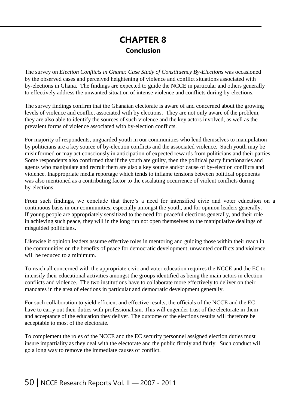### **CHAPTER 8 Conclusion**

The survey on *Election Conflicts in Ghana: Case Study of Constituency By-Elections* was occasioned by the observed cases and perceived heightening of violence and conflict situations associated with by-elections in Ghana. The findings are expected to guide the NCCE in particular and others generally to effectively address the unwanted situation of intense violence and conflicts during by-elections.

The survey findings confirm that the Ghanaian electorate is aware of and concerned about the growing levels of violence and conflict associated with by elections. They are not only aware of the problem, they are also able to identify the sources of such violence and the key actors involved, as well as the prevalent forms of violence associated with by-election conflicts.

For majority of respondents, unguarded youth in our communities who lend themselves to manipulation by politicians are a key source of by-election conflicts and the associated violence. Such youth may be misinformed or may act consciously in anticipation of expected rewards from politicians and their parties. Some respondents also confirmed that if the youth are guilty, then the political party functionaries and agents who manipulate and recruit them are also a key source and/or cause of by-election conflicts and violence. Inappropriate media reportage which tends to inflame tensions between political opponents was also mentioned as a contributing factor to the escalating occurrence of violent conflicts during by-elections.

From such findings, we conclude that there's a need for intensified civic and voter education on a continuous basis in our communities, especially amongst the youth, and for opinion leaders generally. If young people are appropriately sensitized to the need for peaceful elections generally, and their role in achieving such peace, they will in the long run not open themselves to the manipulative dealings of misguided politicians.

Likewise if opinion leaders assume effective roles in mentoring and guiding those within their reach in the communities on the benefits of peace for democratic development, unwanted conflicts and violence will be reduced to a minimum.

To reach all concerned with the appropriate civic and voter education requires the NCCE and the EC to intensify their educational activities amongst the groups identified as being the main actors in election conflicts and violence. The two institutions have to collaborate more effectively to deliver on their mandates in the area of elections in particular and democratic development generally.

For such collaboration to yield efficient and effective results, the officials of the NCCE and the EC have to carry out their duties with professionalism. This will engender trust of the electorate in them and acceptance of the education they deliver. The outcome of the elections results will therefore be acceptable to most of the electorate.

To complement the roles of the NCCE and the EC security personnel assigned election duties must insure impartiality as they deal with the electorate and the public firmly and fairly. Such conduct will go a long way to remove the immediate causes of conflict.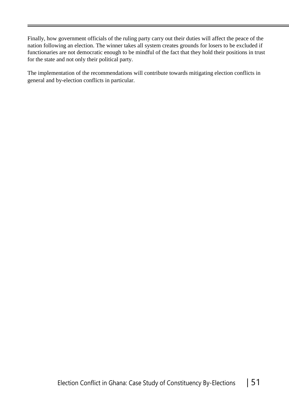Finally, how government officials of the ruling party carry out their duties will affect the peace of the nation following an election. The winner takes all system creates grounds for losers to be excluded if functionaries are not democratic enough to be mindful of the fact that they hold their positions in trust for the state and not only their political party.

The implementation of the recommendations will contribute towards mitigating election conflicts in general and by-election conflicts in particular.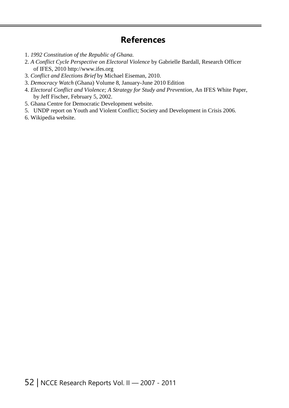### **References**

- 1. *1992 Constitution of the Republic of Ghana.*
- 2. *A Conflict Cycle Perspective on Electoral Violence* by Gabrielle Bardall, Research Officer of IFES, 2010 [http://www.ifes.org](http://www.ifes.org/)
- 3. *Conflict and Elections Brief* by Michael Eiseman, 2010.
- 3. *Democracy Watch* (Ghana) Volume 8, January-June 2010 Edition
- 4. *Electoral Conflict and Violence; A Strategy for Study and Prevention*, An IFES White Paper, by Jeff Fischer, February 5, 2002.
- 5. Ghana Centre for Democratic Development website.
- 5. UNDP report on Youth and Violent Conflict; Society and Development in Crisis 2006.
- 6. Wikipedia website.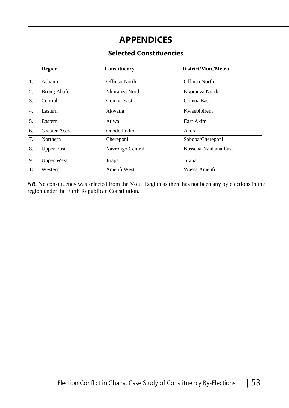### **APPENDICES**

#### **Selected Constituencies**

|                  | <b>Region</b>      | Constituency     | District/Mun./Metro. |
|------------------|--------------------|------------------|----------------------|
| 1.               | Ashanti            | Offinso North    | <b>Offinso North</b> |
| 2.               | <b>Brong Ahafo</b> | Nkoranza North   | Nkoranza North       |
| 3.               | Central            | Gomoa East       | Gomoa East           |
| $\overline{4}$ . | Eastern            | Akwatia          | Kwaebibirem          |
| 5.               | Eastern            | Atiwa            | East Akim            |
| 6.               | Greater Accra      | Odododiodio      | Accra                |
| 7.               | Northern           | Chereponi        | Saboba/Chereponi     |
| 8.               | <b>Upper East</b>  | Navrongo Central | Kassena-Nankana East |
| 9.               | <b>Upper West</b>  | Jirapa           | Jirapa               |
| 10.              | Western            | Amenfi West      | Wassa Amenfi         |

*NB.* No constituency was selected from the Volta Region as there has not been any by elections in the region under the Furth Republican Constitution.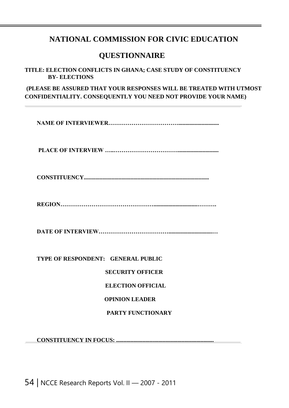#### **NATIONAL COMMISSION FOR CIVIC EDUCATION**

#### **QUESTIONNAIRE**

**TITLE: ELECTION CONFLICTS IN GHANA; CASE STUDY OF CONSTITUENCY BY- ELECTIONS**

**(PLEASE BE ASSURED THAT YOUR RESPONSES WILL BE TREATED WITH UTMOST CONFIDENTIALITY. CONSEQUENTLY YOU NEED NOT PROVIDE YOUR NAME)**

**NAME OF INTERVIEWER………………………………............................**

**PLACE OF INTERVIEW …..……………………………............................**

**CONSTITUENCY......................................................................................**

**REGION…………………………………………..............................……….**

**DATE OF INTERVIEW………………………………..............................…**

**TYPE OF RESPONDENT: GENERAL PUBLIC**

**SECURITY OFFICER**

#### **ELECTION OFFICIAL**

#### **OPINION LEADER**

#### **PARTY FUNCTIONARY**

**CONSTITUENCY IN FOCUS: ...................................................................**

54 | NCCE Research Reports Vol. II — 2007 - 2011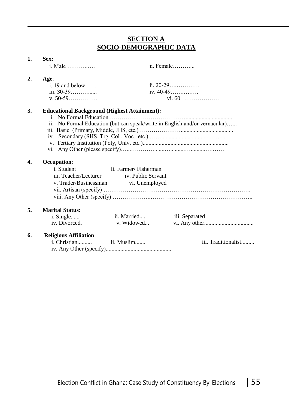#### **SECTION A SOCIO-DEMOGRAPHIC DATA**

#### **1. Sex:**

|    | <i>i</i> . Male                                           |                                                                                    | ii. Female                                                                 |
|----|-----------------------------------------------------------|------------------------------------------------------------------------------------|----------------------------------------------------------------------------|
| 2. | Age:<br>$i. 19$ and below<br>iii. 30-39<br>$v. 50 - 59$   |                                                                                    | ii. $20-29$<br>iv. 40-49<br>vi. $60$ +                                     |
| 3. | <b>Educational Background (Highest Attainment):</b>       |                                                                                    | ii. No Formal Education (but can speak/write in English and/or vernacular) |
| 4. | <b>Occupation:</b><br>i. Student<br>iii. Teacher/Lecturer | ii. Farmer/Fisherman<br>iv. Public Servant<br>v. Trader/Businessman vi. Unemployed |                                                                            |
| 5. | <b>Marital Status:</b><br>i. Single<br>iv. Divorced.      | ii. Married<br>v. Widowed                                                          | iii. Separated                                                             |
| 6. | <b>Religious Affiliation</b><br>i. Christian              | ii. Muslim                                                                         | iii. Traditionalist                                                        |

iv. Any Other (specify).............................................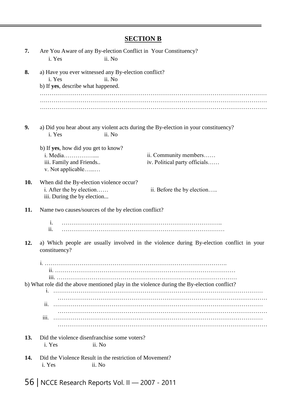### **SECTION B**

| 7.  | Are You Aware of any By-election Conflict in Your Constituency?<br>i. Yes<br>ii. No                                                                       |  |
|-----|-----------------------------------------------------------------------------------------------------------------------------------------------------------|--|
| 8.  | a) Have you ever witnessed any By-election conflict?<br>i. Yes<br>ii. No<br>b) If yes, describe what happened.                                            |  |
|     |                                                                                                                                                           |  |
| 9.  | a) Did you hear about any violent acts during the By-election in your constituency?<br>ii. No<br>i. Yes                                                   |  |
|     | b) If yes, how did you get to know?<br>i. Media<br>ii. Community members<br>iv. Political party officials<br>iii. Family and Friends<br>v. Not applicable |  |
| 10. | When did the By-election violence occur?<br>i. After the by election<br>ii. Before the by election<br>iii. During the by election                         |  |
| 11. | Name two causes/sources of the by election conflict?<br>$\mathbf{i}$ .<br>$\overline{\mathbf{11}}$ .                                                      |  |
| 12. | a) Which people are usually involved in the violence during By-election conflict in your<br>constituency?                                                 |  |
|     | 111<br>b) What role did the above mentioned play in the violence during the By-election conflict?                                                         |  |
|     | 11.                                                                                                                                                       |  |
|     | 111.                                                                                                                                                      |  |
| 13. | Did the violence disenfranchise some voters?<br>i. Yes<br>ii. No                                                                                          |  |
| 14. | Did the Violence Result in the restriction of Movement?<br>i. Yes<br>ii. No                                                                               |  |

56 | NCCE Research Reports Vol. II — 2007 - 2011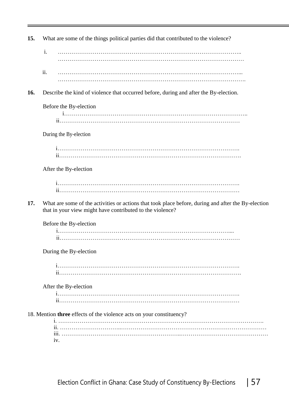| 15. |     | What are some of the things political parties did that contributed to the violence?                                                                              |
|-----|-----|------------------------------------------------------------------------------------------------------------------------------------------------------------------|
|     | i.  |                                                                                                                                                                  |
|     | ii. |                                                                                                                                                                  |
| 16. |     | Describe the kind of violence that occurred before, during and after the By-election.                                                                            |
|     |     | Before the By-election                                                                                                                                           |
|     |     |                                                                                                                                                                  |
|     |     | During the By-election                                                                                                                                           |
|     |     |                                                                                                                                                                  |
|     |     | After the By-election                                                                                                                                            |
|     |     |                                                                                                                                                                  |
| 17. |     | What are some of the activities or actions that took place before, during and after the By-election<br>that in your view might have contributed to the violence? |
|     |     | Before the By-election                                                                                                                                           |
|     |     | During the By-election                                                                                                                                           |
|     |     |                                                                                                                                                                  |
|     |     | After the By-election                                                                                                                                            |
|     |     |                                                                                                                                                                  |
|     |     | 18. Mention three effects of the violence acts on your constituency?                                                                                             |
|     |     | iv.                                                                                                                                                              |
|     |     |                                                                                                                                                                  |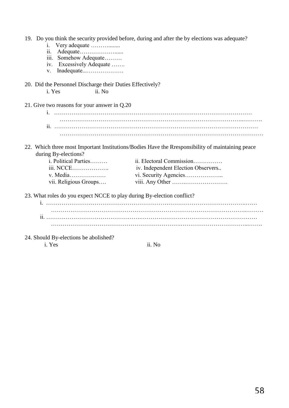| Very adequate<br>1.<br>$\overline{\mathbf{11}}$ .<br>iii. Somehow Adequate<br>iv. Excessively Adequate<br>Inadequate<br>V. | 19. Do you think the security provided before, during and after the by elections was adequate?   |
|----------------------------------------------------------------------------------------------------------------------------|--------------------------------------------------------------------------------------------------|
| 20. Did the Personnel Discharge their Duties Effectively?                                                                  |                                                                                                  |
| ii. No<br>i. Yes                                                                                                           |                                                                                                  |
| 21. Give two reasons for your answer in Q.20                                                                               |                                                                                                  |
|                                                                                                                            |                                                                                                  |
|                                                                                                                            |                                                                                                  |
|                                                                                                                            |                                                                                                  |
|                                                                                                                            | 22. Which three most Important Institutions/Bodies Have the Rresponsibility of maintaining peace |
| during By-elections?                                                                                                       |                                                                                                  |
| i. Political Parties                                                                                                       | ii. Electoral Commission                                                                         |
| iii. NCCE                                                                                                                  | iv. Independent Election Observers                                                               |
| v. Media                                                                                                                   |                                                                                                  |
| vii. Religious Groups                                                                                                      |                                                                                                  |
| 23. What roles do you expect NCCE to play during By-election conflict?                                                     |                                                                                                  |
|                                                                                                                            |                                                                                                  |
|                                                                                                                            |                                                                                                  |

24. Should By-elections be abolished?

i. Yes ii. No